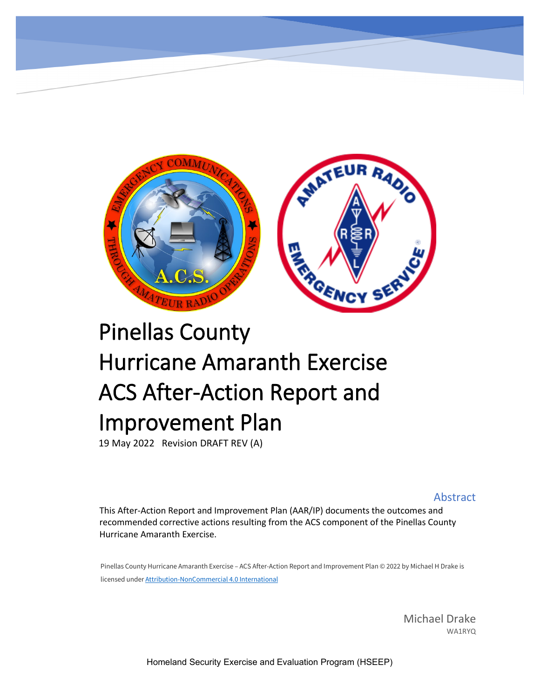

# Pinellas County Hurricane Amaranth Exercise ACS After-Action Report and Improvement Plan

19 May 2022 Revision DRAFT REV (A)

Abstract

This After-Action Report and Improvement Plan (AAR/IP) documents the outcomes and recommended corrective actions resulting from the ACS component of the Pinellas County Hurricane Amaranth Exercise.

Pinellas County Hurricane Amaranth Exercise – ACS After-Action Report and Improvement Plan © 2022 by Michael H Drake is licensed under [Attribution-NonCommercial 4.0 International](http://creativecommons.org/licenses/by-nc/4.0/?ref=chooser-v1)

> Michael Drake WA1RYQ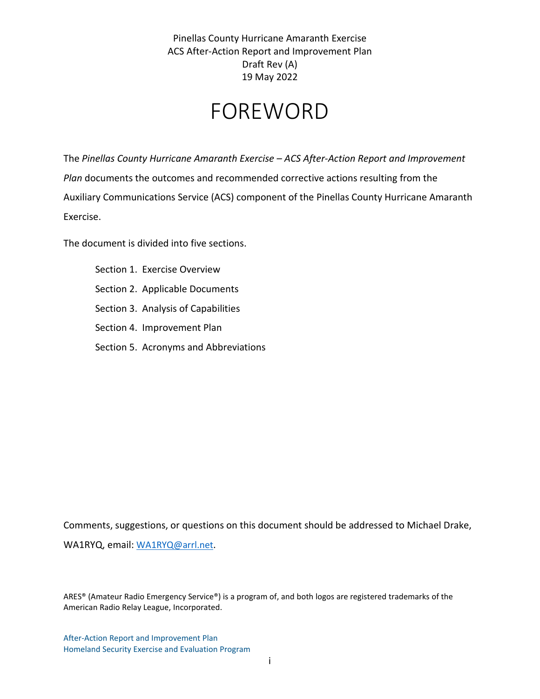## FOREWORD

The *Pinellas County Hurricane Amaranth Exercise – ACS After-Action Report and Improvement Plan* documents the outcomes and recommended corrective actions resulting from the Auxiliary Communications Service (ACS) component of the Pinellas County Hurricane Amaranth Exercise.

The document is divided into five sections.

Section 1. [Exercise Overview](#page-4-0) Section 2. [Applicable Documents](#page-10-0) Section 3. [Analysis of Capabilities](#page-11-0) Section 4. [Improvement Plan](#page-41-0) Section 5. Acronyms [and Abbreviations](#page-53-0)

Comments, suggestions, or questions on this document should be addressed to Michael Drake, WA1RYQ, email[: WA1RYQ@arrl.net.](mailto:WA1RYQ@arrl.net)

ARES® (Amateur Radio Emergency Service®) is a program of, and both logos are registered trademarks of the American Radio Relay League, Incorporated.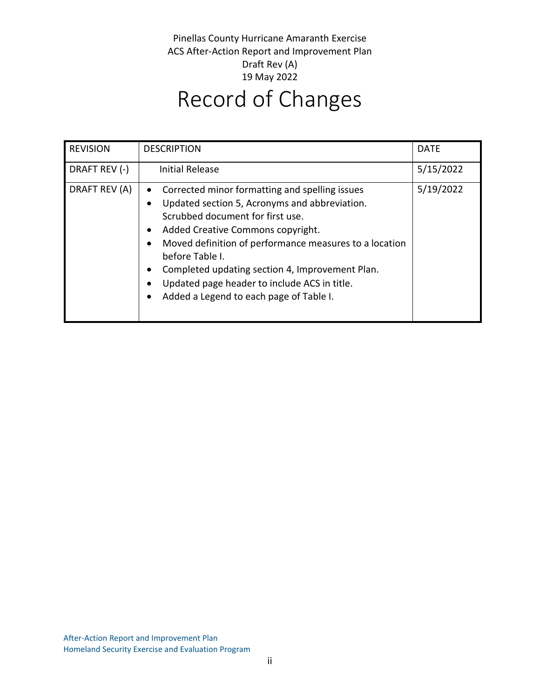| <b>REVISION</b> | <b>DESCRIPTION</b>                                                                                                                                                                                                                                                                                                                                                                                                    | <b>DATE</b> |
|-----------------|-----------------------------------------------------------------------------------------------------------------------------------------------------------------------------------------------------------------------------------------------------------------------------------------------------------------------------------------------------------------------------------------------------------------------|-------------|
| DRAFT REV (-)   | Initial Release                                                                                                                                                                                                                                                                                                                                                                                                       | 5/15/2022   |
| DRAFT REV (A)   | Corrected minor formatting and spelling issues<br>$\bullet$<br>Updated section 5, Acronyms and abbreviation.<br>Scrubbed document for first use.<br>Added Creative Commons copyright.<br>٠<br>Moved definition of performance measures to a location<br>before Table I.<br>Completed updating section 4, Improvement Plan.<br>Updated page header to include ACS in title.<br>Added a Legend to each page of Table I. | 5/19/2022   |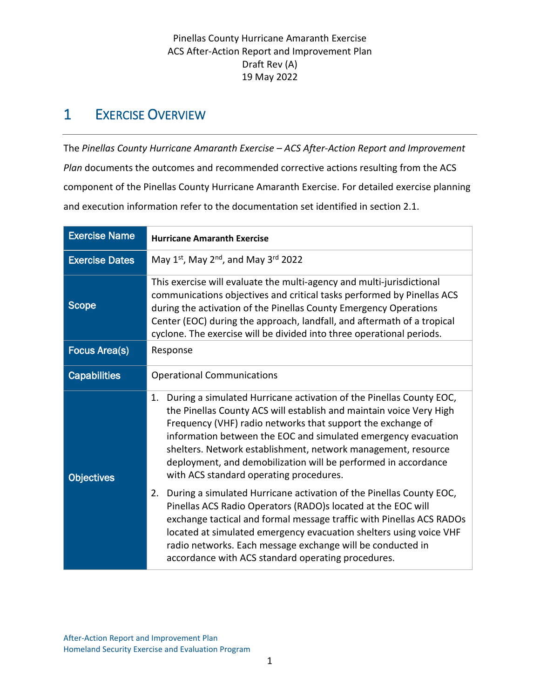## <span id="page-4-0"></span>1 EXERCISE OVERVIEW

The *Pinellas County Hurricane Amaranth Exercise – ACS After-Action Report and Improvement Plan* documents the outcomes and recommended corrective actions resulting from the ACS component of the Pinellas County Hurricane Amaranth Exercise. For detailed exercise planning and execution information refer to the documentation set identified in section [2.1.](#page-10-1)

| <b>Exercise Name</b>  | <b>Hurricane Amaranth Exercise</b>                                                                                                                                                                                                                                                                                                                                                                                                                                                                                                                                                                                                                                                                                                                                                                                                                                             |
|-----------------------|--------------------------------------------------------------------------------------------------------------------------------------------------------------------------------------------------------------------------------------------------------------------------------------------------------------------------------------------------------------------------------------------------------------------------------------------------------------------------------------------------------------------------------------------------------------------------------------------------------------------------------------------------------------------------------------------------------------------------------------------------------------------------------------------------------------------------------------------------------------------------------|
| <b>Exercise Dates</b> | May $1^{st}$ , May $2^{nd}$ , and May $3^{rd}$ 2022                                                                                                                                                                                                                                                                                                                                                                                                                                                                                                                                                                                                                                                                                                                                                                                                                            |
| <b>Scope</b>          | This exercise will evaluate the multi-agency and multi-jurisdictional<br>communications objectives and critical tasks performed by Pinellas ACS<br>during the activation of the Pinellas County Emergency Operations<br>Center (EOC) during the approach, landfall, and aftermath of a tropical<br>cyclone. The exercise will be divided into three operational periods.                                                                                                                                                                                                                                                                                                                                                                                                                                                                                                       |
| <b>Focus Area(s)</b>  | Response                                                                                                                                                                                                                                                                                                                                                                                                                                                                                                                                                                                                                                                                                                                                                                                                                                                                       |
| <b>Capabilities</b>   | <b>Operational Communications</b>                                                                                                                                                                                                                                                                                                                                                                                                                                                                                                                                                                                                                                                                                                                                                                                                                                              |
| <b>Objectives</b>     | During a simulated Hurricane activation of the Pinellas County EOC,<br>1.<br>the Pinellas County ACS will establish and maintain voice Very High<br>Frequency (VHF) radio networks that support the exchange of<br>information between the EOC and simulated emergency evacuation<br>shelters. Network establishment, network management, resource<br>deployment, and demobilization will be performed in accordance<br>with ACS standard operating procedures.<br>During a simulated Hurricane activation of the Pinellas County EOC,<br>2.<br>Pinellas ACS Radio Operators (RADO)s located at the EOC will<br>exchange tactical and formal message traffic with Pinellas ACS RADOs<br>located at simulated emergency evacuation shelters using voice VHF<br>radio networks. Each message exchange will be conducted in<br>accordance with ACS standard operating procedures. |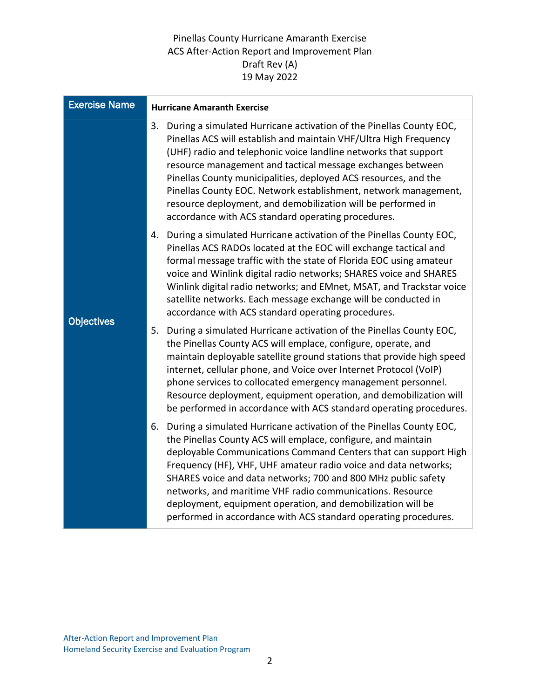| <b>Exercise Name</b> | <b>Hurricane Amaranth Exercise</b>                                                                                                                                                                                                                                                                                                                                                                                                                                                                                                            |
|----------------------|-----------------------------------------------------------------------------------------------------------------------------------------------------------------------------------------------------------------------------------------------------------------------------------------------------------------------------------------------------------------------------------------------------------------------------------------------------------------------------------------------------------------------------------------------|
|                      | During a simulated Hurricane activation of the Pinellas County EOC,<br>3.<br>Pinellas ACS will establish and maintain VHF/Ultra High Frequency<br>(UHF) radio and telephonic voice landline networks that support<br>resource management and tactical message exchanges between<br>Pinellas County municipalities, deployed ACS resources, and the<br>Pinellas County EOC. Network establishment, network management,<br>resource deployment, and demobilization will be performed in<br>accordance with ACS standard operating procedures.   |
| <b>Objectives</b>    | 4. During a simulated Hurricane activation of the Pinellas County EOC,<br>Pinellas ACS RADOs located at the EOC will exchange tactical and<br>formal message traffic with the state of Florida EOC using amateur<br>voice and Winlink digital radio networks; SHARES voice and SHARES<br>Winlink digital radio networks; and EMnet, MSAT, and Trackstar voice<br>satellite networks. Each message exchange will be conducted in<br>accordance with ACS standard operating procedures.                                                         |
|                      | 5.<br>During a simulated Hurricane activation of the Pinellas County EOC,<br>the Pinellas County ACS will emplace, configure, operate, and<br>maintain deployable satellite ground stations that provide high speed<br>internet, cellular phone, and Voice over Internet Protocol (VoIP)<br>phone services to collocated emergency management personnel.<br>Resource deployment, equipment operation, and demobilization will<br>be performed in accordance with ACS standard operating procedures.                                           |
|                      | 6. During a simulated Hurricane activation of the Pinellas County EOC,<br>the Pinellas County ACS will emplace, configure, and maintain<br>deployable Communications Command Centers that can support High<br>Frequency (HF), VHF, UHF amateur radio voice and data networks;<br>SHARES voice and data networks; 700 and 800 MHz public safety<br>networks, and maritime VHF radio communications. Resource<br>deployment, equipment operation, and demobilization will be<br>performed in accordance with ACS standard operating procedures. |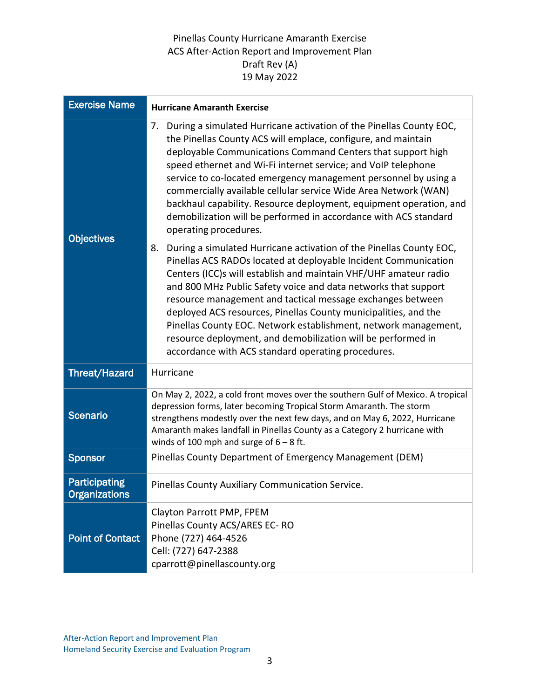| <b>Exercise Name</b>                  | <b>Hurricane Amaranth Exercise</b>                                                                                                                                                                                                                                                                                                                                                                                                                                                                                                                                                                           |
|---------------------------------------|--------------------------------------------------------------------------------------------------------------------------------------------------------------------------------------------------------------------------------------------------------------------------------------------------------------------------------------------------------------------------------------------------------------------------------------------------------------------------------------------------------------------------------------------------------------------------------------------------------------|
|                                       | During a simulated Hurricane activation of the Pinellas County EOC,<br>7.<br>the Pinellas County ACS will emplace, configure, and maintain<br>deployable Communications Command Centers that support high<br>speed ethernet and Wi-Fi internet service; and VoIP telephone<br>service to co-located emergency management personnel by using a<br>commercially available cellular service Wide Area Network (WAN)<br>backhaul capability. Resource deployment, equipment operation, and<br>demobilization will be performed in accordance with ACS standard<br>operating procedures.                          |
| <b>Objectives</b>                     | 8.<br>During a simulated Hurricane activation of the Pinellas County EOC,<br>Pinellas ACS RADOs located at deployable Incident Communication<br>Centers (ICC)s will establish and maintain VHF/UHF amateur radio<br>and 800 MHz Public Safety voice and data networks that support<br>resource management and tactical message exchanges between<br>deployed ACS resources, Pinellas County municipalities, and the<br>Pinellas County EOC. Network establishment, network management,<br>resource deployment, and demobilization will be performed in<br>accordance with ACS standard operating procedures. |
| <b>Threat/Hazard</b>                  | Hurricane                                                                                                                                                                                                                                                                                                                                                                                                                                                                                                                                                                                                    |
| <b>Scenario</b>                       | On May 2, 2022, a cold front moves over the southern Gulf of Mexico. A tropical<br>depression forms, later becoming Tropical Storm Amaranth. The storm<br>strengthens modestly over the next few days, and on May 6, 2022, Hurricane<br>Amaranth makes landfall in Pinellas County as a Category 2 hurricane with<br>winds of 100 mph and surge of $6 - 8$ ft.                                                                                                                                                                                                                                               |
| <b>Sponsor</b>                        | Pinellas County Department of Emergency Management (DEM)                                                                                                                                                                                                                                                                                                                                                                                                                                                                                                                                                     |
| Participating<br><b>Organizations</b> | Pinellas County Auxiliary Communication Service.                                                                                                                                                                                                                                                                                                                                                                                                                                                                                                                                                             |
| <b>Point of Contact</b>               | Clayton Parrott PMP, FPEM<br>Pinellas County ACS/ARES EC-RO<br>Phone (727) 464-4526<br>Cell: (727) 647-2388<br>cparrott@pinellascounty.org                                                                                                                                                                                                                                                                                                                                                                                                                                                                   |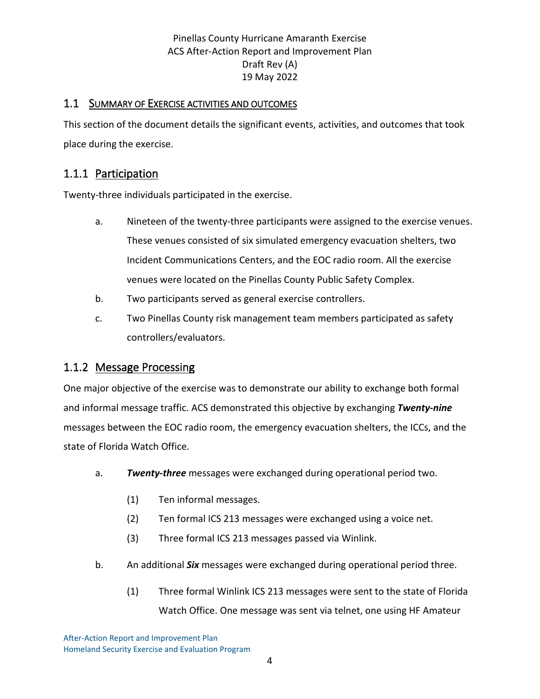#### 1.1 SUMMARY OF EXERCISE ACTIVITIES AND OUTCOMES

This section of the document details the significant events, activities, and outcomes that took place during the exercise.

## 1.1.1 Participation

Twenty-three individuals participated in the exercise.

- a. Nineteen of the twenty-three participants were assigned to the exercise venues. These venues consisted of six simulated emergency evacuation shelters, two Incident Communications Centers, and the EOC radio room. All the exercise venues were located on the Pinellas County Public Safety Complex.
- b. Two participants served as general exercise controllers.
- c. Two Pinellas County risk management team members participated as safety controllers/evaluators.

#### 1.1.2 Message Processing

One major objective of the exercise was to demonstrate our ability to exchange both formal and informal message traffic. ACS demonstrated this objective by exchanging *Twenty-nine* messages between the EOC radio room, the emergency evacuation shelters, the ICCs, and the state of Florida Watch Office.

- a. *Twenty-three* messages were exchanged during operational period two.
	- (1) Ten informal messages.
	- (2) Ten formal ICS 213 messages were exchanged using a voice net.
	- (3) Three formal ICS 213 messages passed via Winlink.
- b. An additional *Six* messages were exchanged during operational period three.
	- (1) Three formal Winlink ICS 213 messages were sent to the state of Florida Watch Office. One message was sent via telnet, one using HF Amateur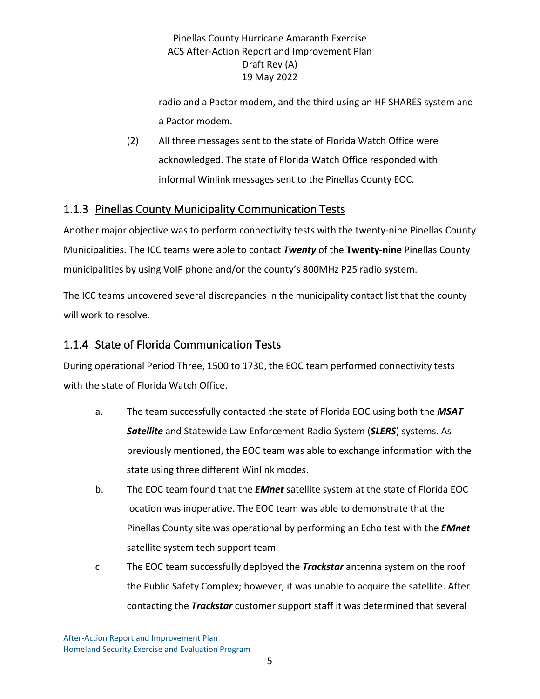radio and a Pactor modem, and the third using an HF SHARES system and a Pactor modem.

(2) All three messages sent to the state of Florida Watch Office were acknowledged. The state of Florida Watch Office responded with informal Winlink messages sent to the Pinellas County EOC.

## 1.1.3 Pinellas County Municipality Communication Tests

Another major objective was to perform connectivity tests with the twenty-nine Pinellas County Municipalities. The ICC teams were able to contact *Twenty* of the **Twenty-nine** Pinellas County municipalities by using VoIP phone and/or the county's 800MHz P25 radio system.

The ICC teams uncovered several discrepancies in the municipality contact list that the county will work to resolve.

#### 1.1.4 State of Florida Communication Tests

During operational Period Three, 1500 to 1730, the EOC team performed connectivity tests with the state of Florida Watch Office.

- a. The team successfully contacted the state of Florida EOC using both the *MSAT Satellite* and Statewide Law Enforcement Radio System (*SLERS*) systems. As previously mentioned, the EOC team was able to exchange information with the state using three different Winlink modes.
- b. The EOC team found that the *EMnet* satellite system at the state of Florida EOC location was inoperative. The EOC team was able to demonstrate that the Pinellas County site was operational by performing an Echo test with the *EMnet* satellite system tech support team.
- c. The EOC team successfully deployed the *Trackstar* antenna system on the roof the Public Safety Complex; however, it was unable to acquire the satellite. After contacting the *Trackstar* customer support staff it was determined that several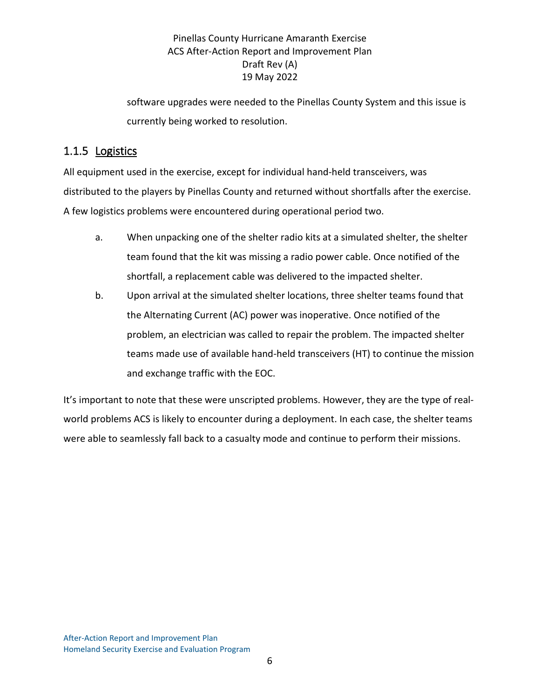software upgrades were needed to the Pinellas County System and this issue is currently being worked to resolution.

## 1.1.5 Logistics

All equipment used in the exercise, except for individual hand-held transceivers, was distributed to the players by Pinellas County and returned without shortfalls after the exercise. A few logistics problems were encountered during operational period two.

- a. When unpacking one of the shelter radio kits at a simulated shelter, the shelter team found that the kit was missing a radio power cable. Once notified of the shortfall, a replacement cable was delivered to the impacted shelter.
- b. Upon arrival at the simulated shelter locations, three shelter teams found that the Alternating Current (AC) power was inoperative. Once notified of the problem, an electrician was called to repair the problem. The impacted shelter teams made use of available hand-held transceivers (HT) to continue the mission and exchange traffic with the EOC.

It's important to note that these were unscripted problems. However, they are the type of realworld problems ACS is likely to encounter during a deployment. In each case, the shelter teams were able to seamlessly fall back to a casualty mode and continue to perform their missions.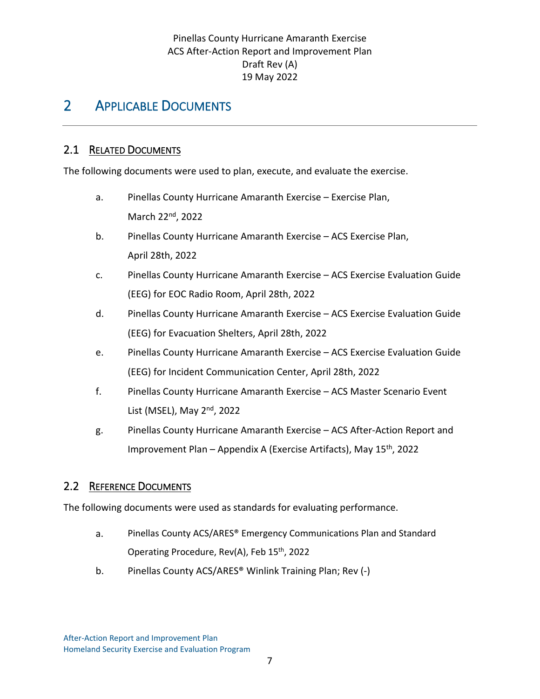## <span id="page-10-0"></span>2 APPLICABLE DOCUMENTS

#### <span id="page-10-1"></span>2.1 RELATED DOCUMENTS

The following documents were used to plan, execute, and evaluate the exercise.

- a. Pinellas County Hurricane Amaranth Exercise Exercise Plan, March 22nd, 2022
- b. Pinellas County Hurricane Amaranth Exercise ACS Exercise Plan, April 28th, 2022
- c. Pinellas County Hurricane Amaranth Exercise ACS Exercise Evaluation Guide (EEG) for EOC Radio Room, April 28th, 2022
- d. Pinellas County Hurricane Amaranth Exercise ACS Exercise Evaluation Guide (EEG) for Evacuation Shelters, April 28th, 2022
- e. Pinellas County Hurricane Amaranth Exercise ACS Exercise Evaluation Guide (EEG) for Incident Communication Center, April 28th, 2022
- f. Pinellas County Hurricane Amaranth Exercise ACS Master Scenario Event List (MSEL), May 2<sup>nd</sup>, 2022
- g. Pinellas County Hurricane Amaranth Exercise ACS After-Action Report and Improvement Plan – Appendix A (Exercise Artifacts), May 15th, 2022

#### 2.2 REFERENCE DOCUMENTS

The following documents were used as standards for evaluating performance.

- a. Pinellas County ACS/ARES® Emergency Communications Plan and Standard Operating Procedure, Rev(A), Feb 15<sup>th</sup>, 2022
- b. Pinellas County ACS/ARES® Winlink Training Plan; Rev (-)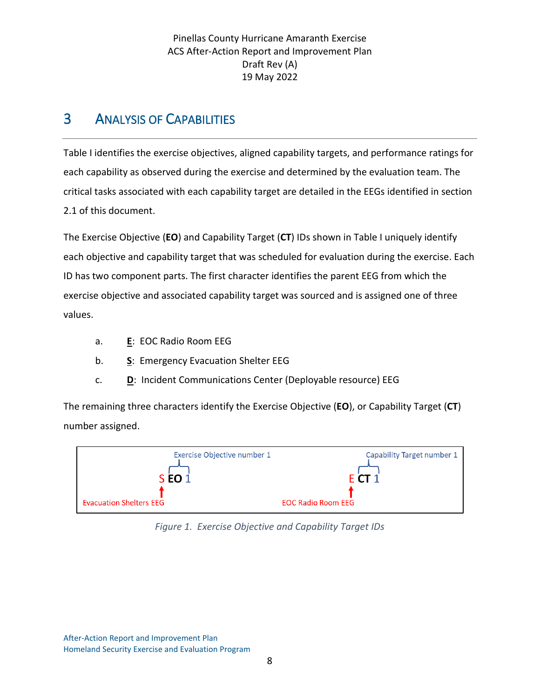## <span id="page-11-0"></span>3 ANALYSIS OF CAPABILITIES

[Table I](#page-13-0) identifies the exercise objectives, aligned capability targets, and performance ratings for each capability as observed during the exercise and determined by the evaluation team. The critical tasks associated with each capability target are detailed in the EEGs identified in section [2.1](#page-10-1) of this document.

The Exercise Objective (**EO**) and Capability Target (**CT**) IDs shown in [Table I](#page-13-0) uniquely identify each objective and capability target that was scheduled for evaluation during the exercise. Each ID has two component parts. The first character identifies the parent EEG from which the exercise objective and associated capability target was sourced and is assigned one of three values.

- a. **E**: EOC Radio Room EEG
- b. **S**: Emergency Evacuation Shelter EEG
- c. **D**: Incident Communications Center (Deployable resource) EEG

The remaining three characters identify the Exercise Objective (**EO**), or Capability Target (**CT**) number assigned.



*Figure 1. Exercise Objective and Capability Target IDs*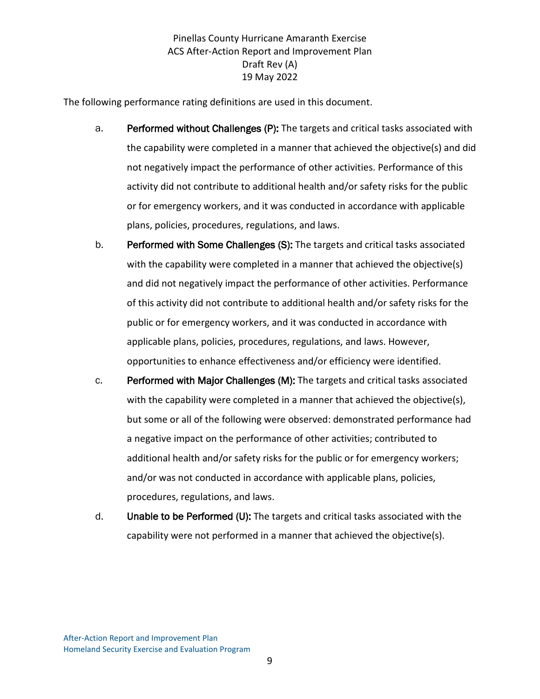The following performance rating definitions are used in this document.

- a. Performed without Challenges (P): The targets and critical tasks associated with the capability were completed in a manner that achieved the objective(s) and did not negatively impact the performance of other activities. Performance of this activity did not contribute to additional health and/or safety risks for the public or for emergency workers, and it was conducted in accordance with applicable plans, policies, procedures, regulations, and laws.
- b. Performed with Some Challenges (S): The targets and critical tasks associated with the capability were completed in a manner that achieved the objective(s) and did not negatively impact the performance of other activities. Performance of this activity did not contribute to additional health and/or safety risks for the public or for emergency workers, and it was conducted in accordance with applicable plans, policies, procedures, regulations, and laws. However, opportunities to enhance effectiveness and/or efficiency were identified.
- c. Performed with Major Challenges (M): The targets and critical tasks associated with the capability were completed in a manner that achieved the objective(s), but some or all of the following were observed: demonstrated performance had a negative impact on the performance of other activities; contributed to additional health and/or safety risks for the public or for emergency workers; and/or was not conducted in accordance with applicable plans, policies, procedures, regulations, and laws.
- d. Unable to be Performed (U): The targets and critical tasks associated with the capability were not performed in a manner that achieved the objective(s).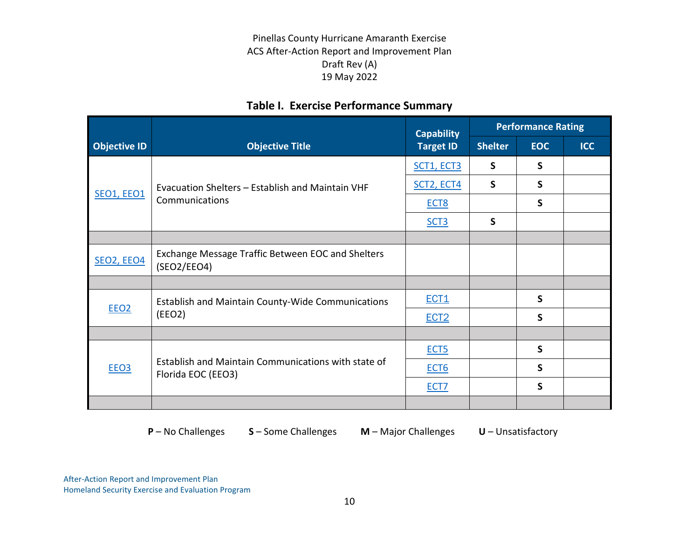## **Table I. Exercise Performance Summary**

<span id="page-13-0"></span>

|                     |                                                                           | <b>Performance Rating</b><br><b>Capability</b> |                |              |            |
|---------------------|---------------------------------------------------------------------------|------------------------------------------------|----------------|--------------|------------|
| <b>Objective ID</b> | <b>Objective Title</b>                                                    | <b>Target ID</b>                               | <b>Shelter</b> | <b>EOC</b>   | <b>ICC</b> |
|                     |                                                                           | SCT1, ECT3                                     | $\mathsf{S}$   | $\mathsf{S}$ |            |
|                     | Evacuation Shelters - Establish and Maintain VHF                          | <b>SCT2, ECT4</b>                              | S              | S            |            |
| <b>SEO1, EEO1</b>   | Communications                                                            | ECT <sub>8</sub>                               |                | $\mathsf{S}$ |            |
|                     |                                                                           | SCT <sub>3</sub>                               | $\mathsf{S}$   |              |            |
|                     |                                                                           |                                                |                |              |            |
| SEO2, EEO4          | Exchange Message Traffic Between EOC and Shelters<br>(SEO2/EEO4)          |                                                |                |              |            |
|                     |                                                                           |                                                |                |              |            |
| EEO <sub>2</sub>    | <b>Establish and Maintain County-Wide Communications</b><br>(EEO2)        | ECT1                                           |                | S            |            |
|                     |                                                                           | ECT <sub>2</sub>                               |                | S            |            |
|                     |                                                                           |                                                |                |              |            |
|                     |                                                                           | ECT <sub>5</sub>                               |                | $\mathsf{S}$ |            |
| EEO <sub>3</sub>    | Establish and Maintain Communications with state of<br>Florida EOC (EEO3) | ECT <sub>6</sub>                               |                | $\mathsf{S}$ |            |
|                     |                                                                           | ECT <sub>7</sub>                               |                | S            |            |
|                     |                                                                           |                                                |                |              |            |

**P** – No Challenges **S** – Some Challenges **M** – Major Challenges **U** – Unsatisfactory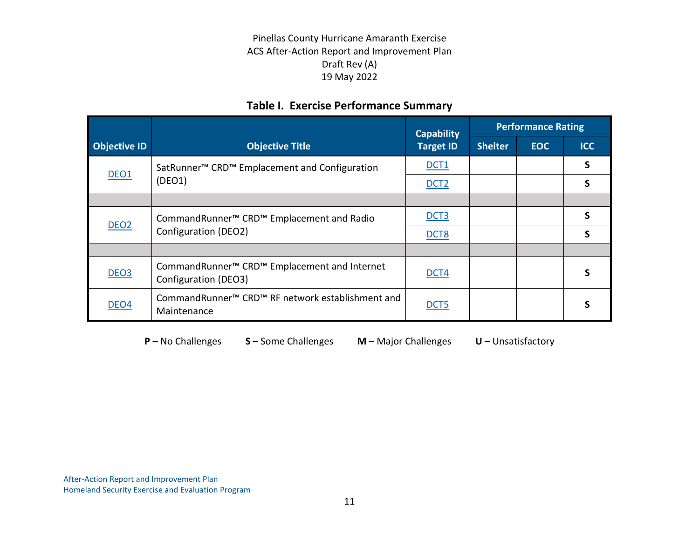#### **Table I. Exercise Performance Summary**

|                     |                                                                                              | <b>Capability</b> |                | <b>Performance Rating</b> |            |
|---------------------|----------------------------------------------------------------------------------------------|-------------------|----------------|---------------------------|------------|
| <b>Objective ID</b> | <b>Objective Title</b>                                                                       | <b>Target ID</b>  | <b>Shelter</b> | <b>EOC</b>                | <b>ICC</b> |
| DEO <sub>1</sub>    | SatRunner <sup>™</sup> CRD <sup>™</sup> Emplacement and Configuration                        | <b>DCT1</b>       |                |                           | S          |
|                     | (DEO1)                                                                                       | DCT <sub>2</sub>  |                |                           |            |
|                     |                                                                                              |                   |                |                           |            |
| DEO <sub>2</sub>    | CommandRunner <sup>™</sup> CRD <sup>™</sup> Emplacement and Radio<br>Configuration (DEO2)    | DCT <sub>3</sub>  |                |                           | S          |
|                     |                                                                                              | DCT <sub>8</sub>  |                |                           |            |
|                     |                                                                                              |                   |                |                           |            |
| DEO <sub>3</sub>    | CommandRunner <sup>™</sup> CRD <sup>™</sup> Emplacement and Internet<br>Configuration (DEO3) | <b>DCT4</b>       |                |                           |            |
| DEO <sub>4</sub>    | CommandRunner <sup>™</sup> CRD <sup>™</sup> RF network establishment and<br>Maintenance      | DCT <sub>5</sub>  |                |                           |            |

**P** – No Challenges **S** – Some Challenges **M** – Major Challenges **U** – Unsatisfactory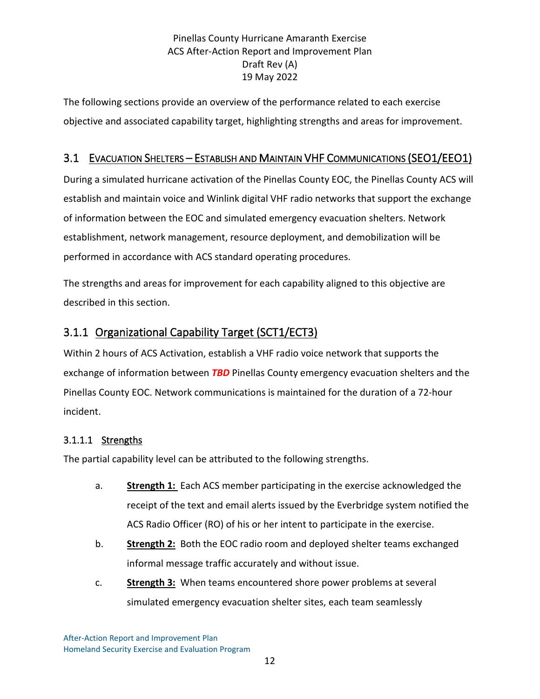<span id="page-15-0"></span>The following sections provide an overview of the performance related to each exercise objective and associated capability target, highlighting strengths and areas for improvement.

#### 3.1 EVACUATION SHELTERS – ESTABLISH AND MAINTAIN VHF COMMUNICATIONS (SEO1/EEO1)

<span id="page-15-1"></span>During a simulated hurricane activation of the Pinellas County EOC, the Pinellas County ACS will establish and maintain voice and Winlink digital VHF radio networks that support the exchange of information between the EOC and simulated emergency evacuation shelters. Network establishment, network management, resource deployment, and demobilization will be performed in accordance with ACS standard operating procedures.

The strengths and areas for improvement for each capability aligned to this objective are described in this section.

## 3.1.1 Organizational Capability Target (SCT1/ECT3)

Within 2 hours of ACS Activation, establish a VHF radio voice network that supports the exchange of information between *TBD* Pinellas County emergency evacuation shelters and the Pinellas County EOC. Network communications is maintained for the duration of a 72-hour incident.

#### 3.1.1.1 Strengths

The partial capability level can be attributed to the following strengths.

- a. **Strength 1:** Each ACS member participating in the exercise acknowledged the receipt of the text and email alerts issued by the Everbridge system notified the ACS Radio Officer (RO) of his or her intent to participate in the exercise.
- b. **Strength 2:** Both the EOC radio room and deployed shelter teams exchanged informal message traffic accurately and without issue.
- c. **Strength 3:** When teams encountered shore power problems at several simulated emergency evacuation shelter sites, each team seamlessly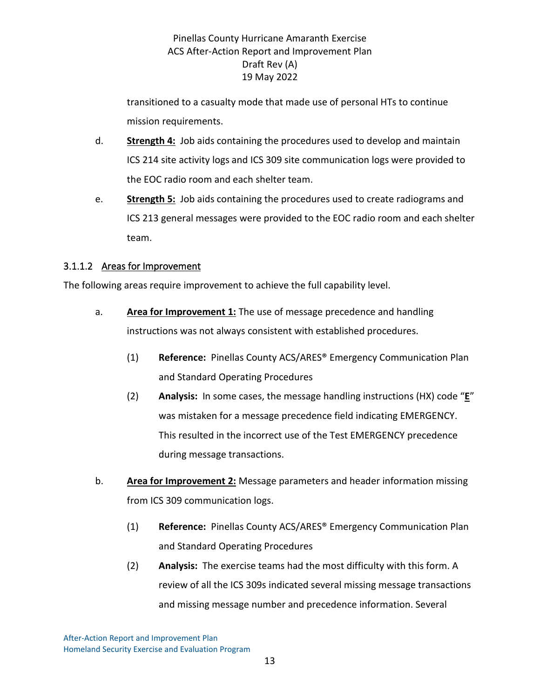transitioned to a casualty mode that made use of personal HTs to continue mission requirements.

- d. **Strength 4:** Job aids containing the procedures used to develop and maintain ICS 214 site activity logs and ICS 309 site communication logs were provided to the EOC radio room and each shelter team.
- e. **Strength 5:** Job aids containing the procedures used to create radiograms and ICS 213 general messages were provided to the EOC radio room and each shelter team.

#### 3.1.1.2 Areas for Improvement

The following areas require improvement to achieve the full capability level.

- a. **Area for Improvement 1:** The use of message precedence and handling instructions was not always consistent with established procedures.
	- (1) **Reference:** Pinellas County ACS/ARES® Emergency Communication Plan and Standard Operating Procedures
	- (2) **Analysis:** In some cases, the message handling instructions (HX) code "**E**" was mistaken for a message precedence field indicating EMERGENCY. This resulted in the incorrect use of the Test EMERGENCY precedence during message transactions.
- b. **Area for Improvement 2:** Message parameters and header information missing from ICS 309 communication logs.
	- (1) **Reference:** Pinellas County ACS/ARES® Emergency Communication Plan and Standard Operating Procedures
	- (2) **Analysis:** The exercise teams had the most difficulty with this form. A review of all the ICS 309s indicated several missing message transactions and missing message number and precedence information. Several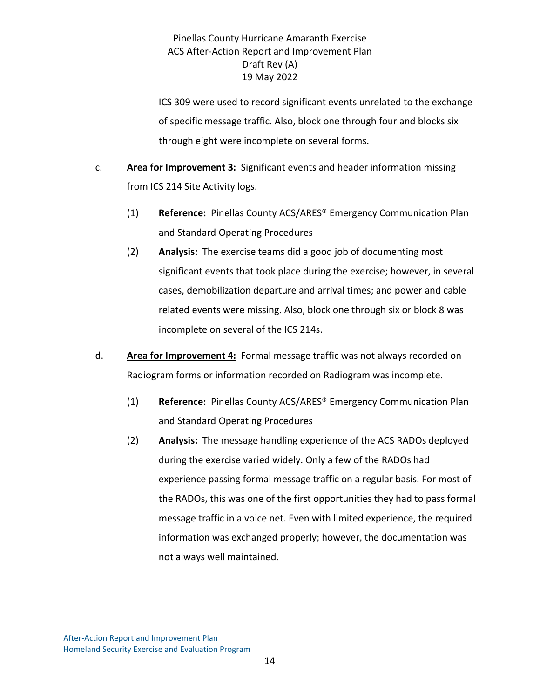ICS 309 were used to record significant events unrelated to the exchange of specific message traffic. Also, block one through four and blocks six through eight were incomplete on several forms.

- c. **Area for Improvement 3:** Significant events and header information missing from ICS 214 Site Activity logs.
	- (1) **Reference:** Pinellas County ACS/ARES® Emergency Communication Plan and Standard Operating Procedures
	- (2) **Analysis:** The exercise teams did a good job of documenting most significant events that took place during the exercise; however, in several cases, demobilization departure and arrival times; and power and cable related events were missing. Also, block one through six or block 8 was incomplete on several of the ICS 214s.
- d. **Area for Improvement 4:** Formal message traffic was not always recorded on Radiogram forms or information recorded on Radiogram was incomplete.
	- (1) **Reference:** Pinellas County ACS/ARES® Emergency Communication Plan and Standard Operating Procedures
	- (2) **Analysis:** The message handling experience of the ACS RADOs deployed during the exercise varied widely. Only a few of the RADOs had experience passing formal message traffic on a regular basis. For most of the RADOs, this was one of the first opportunities they had to pass formal message traffic in a voice net. Even with limited experience, the required information was exchanged properly; however, the documentation was not always well maintained.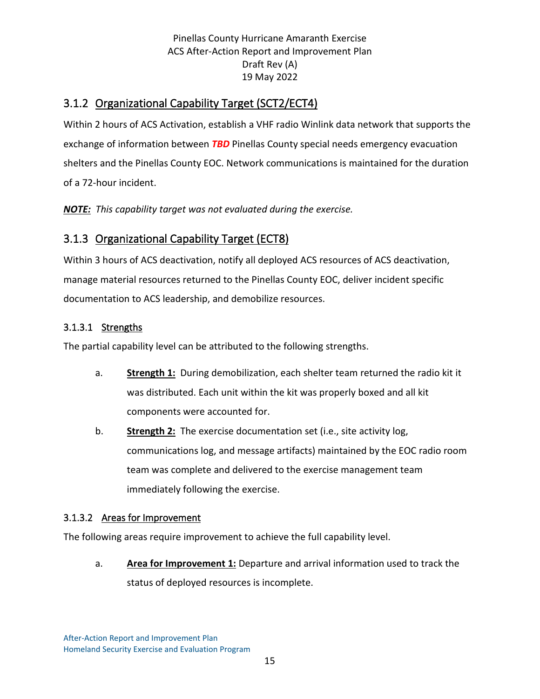## <span id="page-18-1"></span><span id="page-18-0"></span>3.1.2 Organizational Capability Target (SCT2/ECT4)

Within 2 hours of ACS Activation, establish a VHF radio Winlink data network that supports the exchange of information between *TBD* Pinellas County special needs emergency evacuation shelters and the Pinellas County EOC. Network communications is maintained for the duration of a 72-hour incident.

*NOTE: This capability target was not evaluated during the exercise.*

## 3.1.3 Organizational Capability Target (ECT8)

Within 3 hours of ACS deactivation, notify all deployed ACS resources of ACS deactivation, manage material resources returned to the Pinellas County EOC, deliver incident specific documentation to ACS leadership, and demobilize resources.

#### 3.1.3.1 Strengths

The partial capability level can be attributed to the following strengths.

- a. **Strength 1:** During demobilization, each shelter team returned the radio kit it was distributed. Each unit within the kit was properly boxed and all kit components were accounted for.
- b. **Strength 2:** The exercise documentation set (i.e., site activity log, communications log, and message artifacts) maintained by the EOC radio room team was complete and delivered to the exercise management team immediately following the exercise.

#### 3.1.3.2 Areas for Improvement

The following areas require improvement to achieve the full capability level.

a. **Area for Improvement 1:** Departure and arrival information used to track the status of deployed resources is incomplete.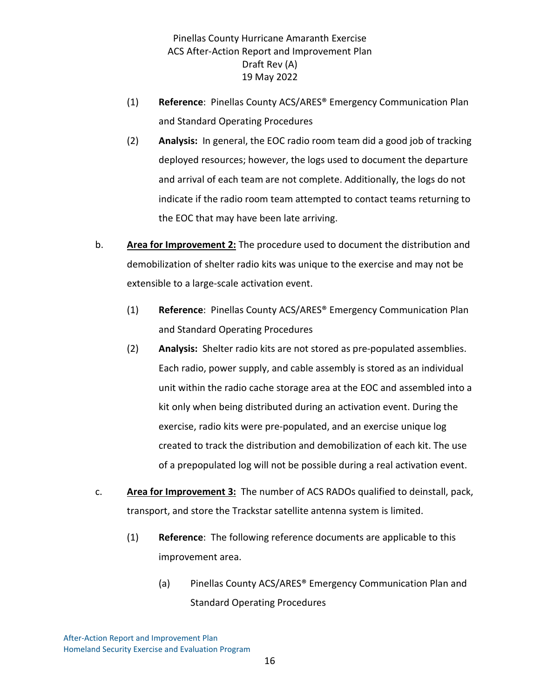- (1) **Reference**: Pinellas County ACS/ARES® Emergency Communication Plan and Standard Operating Procedures
- (2) **Analysis:** In general, the EOC radio room team did a good job of tracking deployed resources; however, the logs used to document the departure and arrival of each team are not complete. Additionally, the logs do not indicate if the radio room team attempted to contact teams returning to the EOC that may have been late arriving.
- b. **Area for Improvement 2:** The procedure used to document the distribution and demobilization of shelter radio kits was unique to the exercise and may not be extensible to a large-scale activation event.
	- (1) **Reference**: Pinellas County ACS/ARES® Emergency Communication Plan and Standard Operating Procedures
	- (2) **Analysis:** Shelter radio kits are not stored as pre-populated assemblies. Each radio, power supply, and cable assembly is stored as an individual unit within the radio cache storage area at the EOC and assembled into a kit only when being distributed during an activation event. During the exercise, radio kits were pre-populated, and an exercise unique log created to track the distribution and demobilization of each kit. The use of a prepopulated log will not be possible during a real activation event.
- c. **Area for Improvement 3:** The number of ACS RADOs qualified to deinstall, pack, transport, and store the Trackstar satellite antenna system is limited.
	- (1) **Reference**: The following reference documents are applicable to this improvement area.
		- (a) Pinellas County ACS/ARES® Emergency Communication Plan and Standard Operating Procedures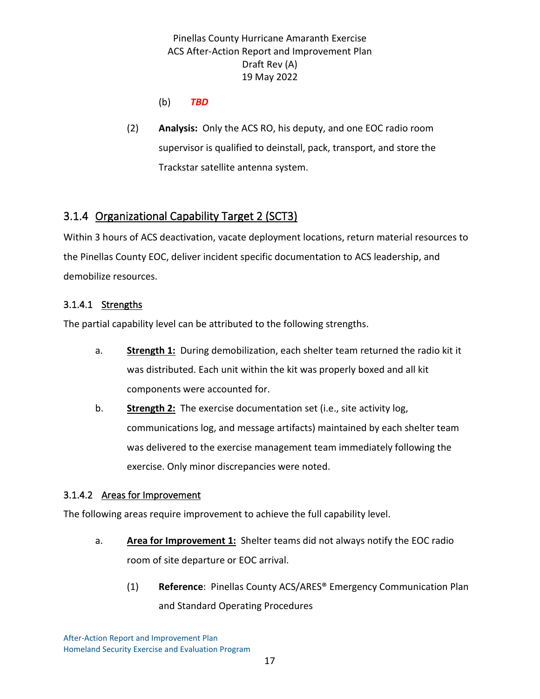- (b) *TBD*
- <span id="page-20-0"></span>(2) **Analysis:** Only the ACS RO, his deputy, and one EOC radio room supervisor is qualified to deinstall, pack, transport, and store the Trackstar satellite antenna system.

## 3.1.4 Organizational Capability Target 2 (SCT3)

Within 3 hours of ACS deactivation, vacate deployment locations, return material resources to the Pinellas County EOC, deliver incident specific documentation to ACS leadership, and demobilize resources.

#### 3.1.4.1 Strengths

The partial capability level can be attributed to the following strengths.

- a. **Strength 1:** During demobilization, each shelter team returned the radio kit it was distributed. Each unit within the kit was properly boxed and all kit components were accounted for.
- b. **Strength 2:** The exercise documentation set (i.e., site activity log, communications log, and message artifacts) maintained by each shelter team was delivered to the exercise management team immediately following the exercise. Only minor discrepancies were noted.

#### 3.1.4.2 Areas for Improvement

The following areas require improvement to achieve the full capability level.

- a. **Area for Improvement 1:** Shelter teams did not always notify the EOC radio room of site departure or EOC arrival.
	- (1) **Reference**: Pinellas County ACS/ARES® Emergency Communication Plan and Standard Operating Procedures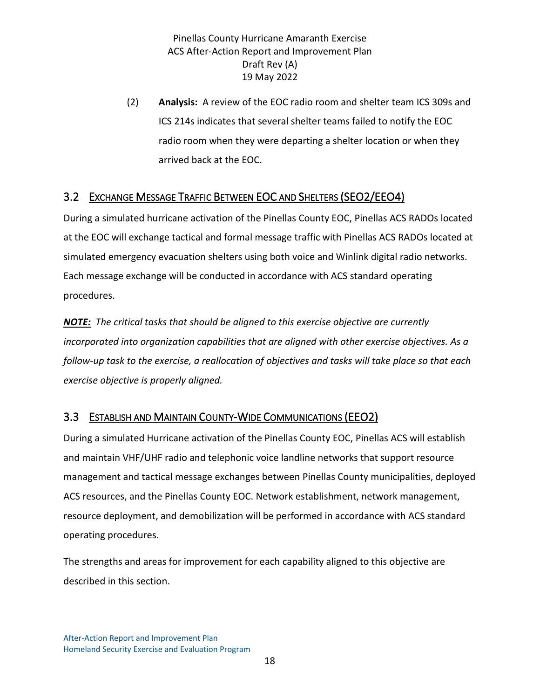<span id="page-21-0"></span>(2) **Analysis:** A review of the EOC radio room and shelter team ICS 309s and ICS 214s indicates that several shelter teams failed to notify the EOC radio room when they were departing a shelter location or when they arrived back at the EOC.

#### 3.2 EXCHANGE MESSAGE TRAFFIC BETWEEN EOC AND SHELTERS (SEO2/EEO4)

<span id="page-21-1"></span>During a simulated hurricane activation of the Pinellas County EOC, Pinellas ACS RADOs located at the EOC will exchange tactical and formal message traffic with Pinellas ACS RADOs located at simulated emergency evacuation shelters using both voice and Winlink digital radio networks. Each message exchange will be conducted in accordance with ACS standard operating procedures.

*NOTE: The critical tasks that should be aligned to this exercise objective are currently incorporated into organization capabilities that are aligned with other exercise objectives. As a follow-up task to the exercise, a reallocation of objectives and tasks will take place so that each exercise objective is properly aligned.*

#### 3.3 ESTABLISH AND MAINTAIN COUNTY-WIDE COMMUNICATIONS (EEO2)

During a simulated Hurricane activation of the Pinellas County EOC, Pinellas ACS will establish and maintain VHF/UHF radio and telephonic voice landline networks that support resource management and tactical message exchanges between Pinellas County municipalities, deployed ACS resources, and the Pinellas County EOC. Network establishment, network management, resource deployment, and demobilization will be performed in accordance with ACS standard operating procedures.

The strengths and areas for improvement for each capability aligned to this objective are described in this section.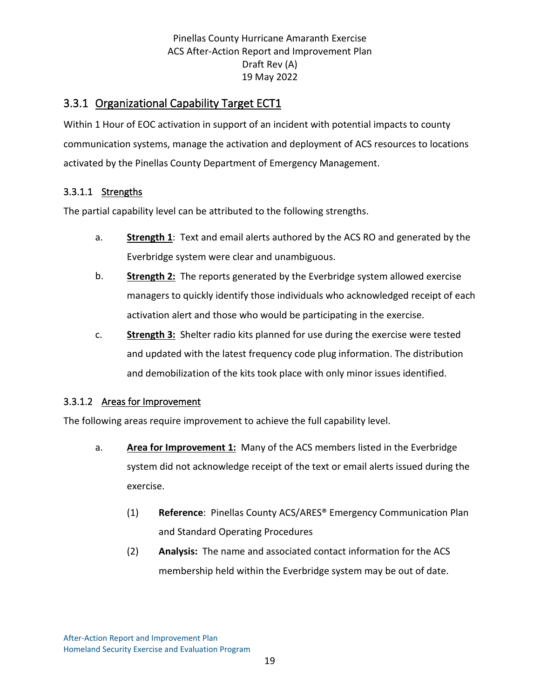## <span id="page-22-0"></span>3.3.1 Organizational Capability Target ECT1

Within 1 Hour of EOC activation in support of an incident with potential impacts to county communication systems, manage the activation and deployment of ACS resources to locations activated by the Pinellas County Department of Emergency Management.

#### 3.3.1.1 Strengths

The partial capability level can be attributed to the following strengths.

- a. **Strength 1**: Text and email alerts authored by the ACS RO and generated by the Everbridge system were clear and unambiguous.
- b. **Strength 2:** The reports generated by the Everbridge system allowed exercise managers to quickly identify those individuals who acknowledged receipt of each activation alert and those who would be participating in the exercise.
- c. **Strength 3:** Shelter radio kits planned for use during the exercise were tested and updated with the latest frequency code plug information. The distribution and demobilization of the kits took place with only minor issues identified.

#### 3.3.1.2 Areas for Improvement

The following areas require improvement to achieve the full capability level.

- a. **Area for Improvement 1:** Many of the ACS members listed in the Everbridge system did not acknowledge receipt of the text or email alerts issued during the exercise.
	- (1) **Reference**: Pinellas County ACS/ARES® Emergency Communication Plan and Standard Operating Procedures
	- (2) **Analysis:** The name and associated contact information for the ACS membership held within the Everbridge system may be out of date.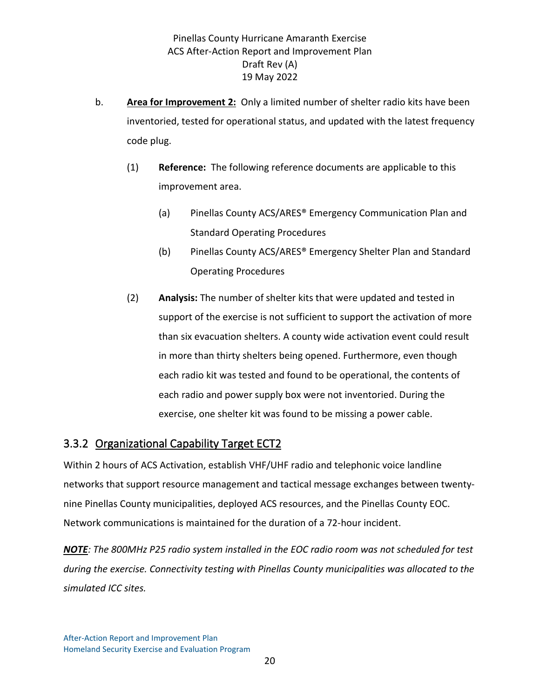- b. **Area for Improvement 2:** Only a limited number of shelter radio kits have been inventoried, tested for operational status, and updated with the latest frequency code plug.
	- (1) **Reference:** The following reference documents are applicable to this improvement area.
		- (a) Pinellas County ACS/ARES® Emergency Communication Plan and Standard Operating Procedures
		- (b) Pinellas County ACS/ARES® Emergency Shelter Plan and Standard Operating Procedures
	- (2) **Analysis:** The number of shelter kits that were updated and tested in support of the exercise is not sufficient to support the activation of more than six evacuation shelters. A county wide activation event could result in more than thirty shelters being opened. Furthermore, even though each radio kit was tested and found to be operational, the contents of each radio and power supply box were not inventoried. During the exercise, one shelter kit was found to be missing a power cable.

#### <span id="page-23-0"></span>3.3.2 Organizational Capability Target ECT2

Within 2 hours of ACS Activation, establish VHF/UHF radio and telephonic voice landline networks that support resource management and tactical message exchanges between twentynine Pinellas County municipalities, deployed ACS resources, and the Pinellas County EOC. Network communications is maintained for the duration of a 72-hour incident.

*NOTE: The 800MHz P25 radio system installed in the EOC radio room was not scheduled for test during the exercise. Connectivity testing with Pinellas County municipalities was allocated to the simulated ICC sites.*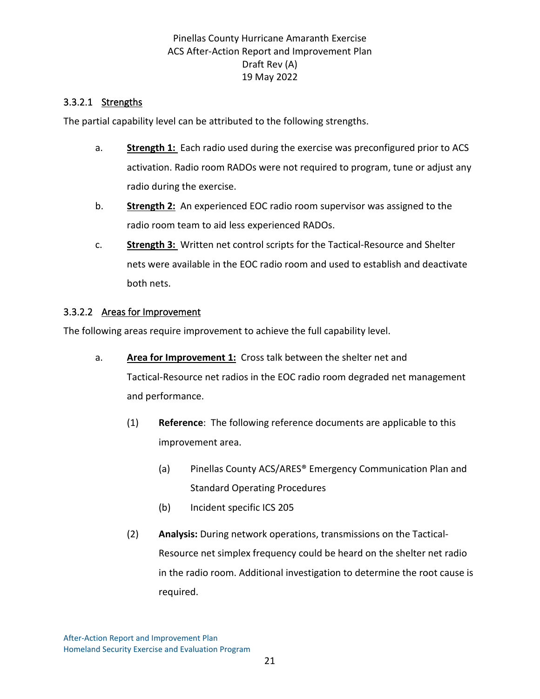#### 3.3.2.1 Strengths

The partial capability level can be attributed to the following strengths.

- a. **Strength 1:** Each radio used during the exercise was preconfigured prior to ACS activation. Radio room RADOs were not required to program, tune or adjust any radio during the exercise.
- b. **Strength 2:** An experienced EOC radio room supervisor was assigned to the radio room team to aid less experienced RADOs.
- c. **Strength 3:** Written net control scripts for the Tactical-Resource and Shelter nets were available in the EOC radio room and used to establish and deactivate both nets.

#### 3.3.2.2 Areas for Improvement

The following areas require improvement to achieve the full capability level.

- a. **Area for Improvement 1:** Cross talk between the shelter net and Tactical-Resource net radios in the EOC radio room degraded net management and performance.
	- (1) **Reference**: The following reference documents are applicable to this improvement area.
		- (a) Pinellas County ACS/ARES® Emergency Communication Plan and Standard Operating Procedures
		- (b) Incident specific ICS 205
	- (2) **Analysis:** During network operations, transmissions on the Tactical-Resource net simplex frequency could be heard on the shelter net radio in the radio room. Additional investigation to determine the root cause is required.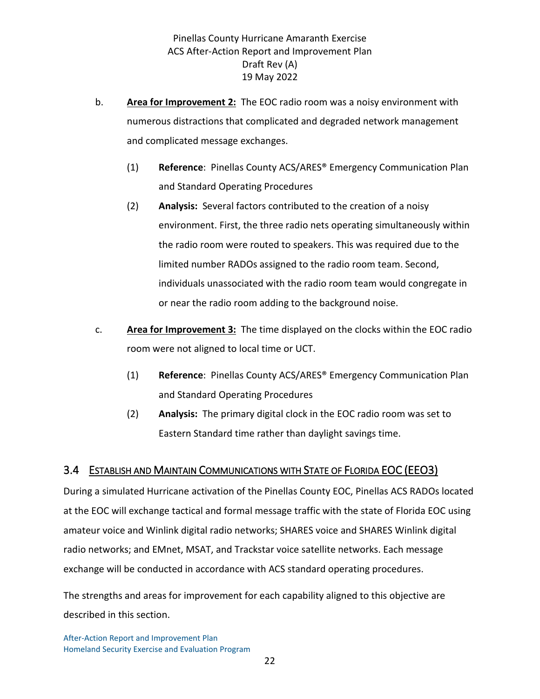- b. **Area for Improvement 2:** The EOC radio room was a noisy environment with numerous distractions that complicated and degraded network management and complicated message exchanges.
	- (1) **Reference**: Pinellas County ACS/ARES® Emergency Communication Plan and Standard Operating Procedures
	- (2) **Analysis:** Several factors contributed to the creation of a noisy environment. First, the three radio nets operating simultaneously within the radio room were routed to speakers. This was required due to the limited number RADOs assigned to the radio room team. Second, individuals unassociated with the radio room team would congregate in or near the radio room adding to the background noise.
- <span id="page-25-0"></span>c. **Area for Improvement 3:** The time displayed on the clocks within the EOC radio room were not aligned to local time or UCT.
	- (1) **Reference**: Pinellas County ACS/ARES® Emergency Communication Plan and Standard Operating Procedures
	- (2) **Analysis:** The primary digital clock in the EOC radio room was set to Eastern Standard time rather than daylight savings time.

#### 3.4 ESTABLISH AND MAINTAIN COMMUNICATIONS WITH STATE OF FLORIDA EOC (EEO3)

During a simulated Hurricane activation of the Pinellas County EOC, Pinellas ACS RADOs located at the EOC will exchange tactical and formal message traffic with the state of Florida EOC using amateur voice and Winlink digital radio networks; SHARES voice and SHARES Winlink digital radio networks; and EMnet, MSAT, and Trackstar voice satellite networks. Each message exchange will be conducted in accordance with ACS standard operating procedures.

The strengths and areas for improvement for each capability aligned to this objective are described in this section.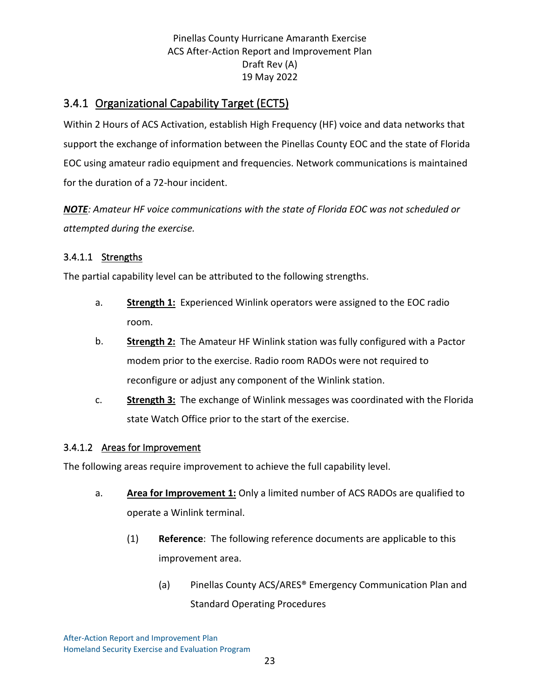## <span id="page-26-0"></span>3.4.1 Organizational Capability Target (ECT5)

Within 2 Hours of ACS Activation, establish High Frequency (HF) voice and data networks that support the exchange of information between the Pinellas County EOC and the state of Florida EOC using amateur radio equipment and frequencies. Network communications is maintained for the duration of a 72-hour incident.

*NOTE: Amateur HF voice communications with the state of Florida EOC was not scheduled or attempted during the exercise.*

#### 3.4.1.1 Strengths

The partial capability level can be attributed to the following strengths.

- a. **Strength 1:** Experienced Winlink operators were assigned to the EOC radio room.
- b. **Strength 2:** The Amateur HF Winlink station was fully configured with a Pactor modem prior to the exercise. Radio room RADOs were not required to reconfigure or adjust any component of the Winlink station.
- c. **Strength 3:** The exchange of Winlink messages was coordinated with the Florida state Watch Office prior to the start of the exercise.

#### 3.4.1.2 Areas for Improvement

The following areas require improvement to achieve the full capability level.

- a. **Area for Improvement 1:** Only a limited number of ACS RADOs are qualified to operate a Winlink terminal.
	- (1) **Reference**: The following reference documents are applicable to this improvement area.
		- (a) Pinellas County ACS/ARES® Emergency Communication Plan and Standard Operating Procedures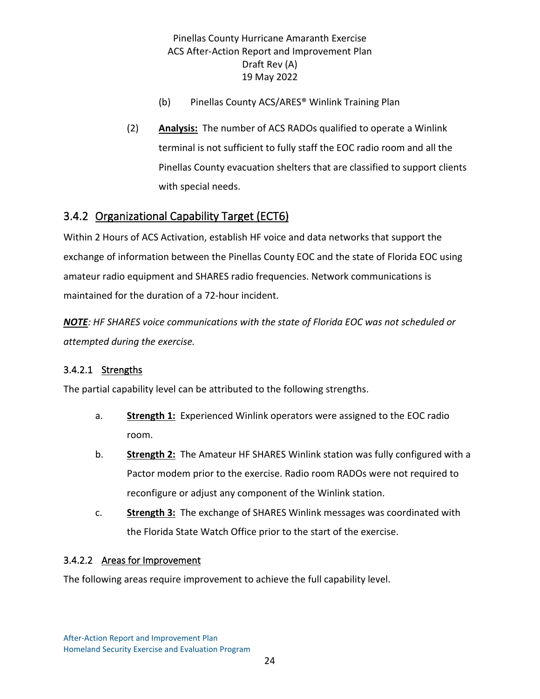- (b) Pinellas County ACS/ARES® Winlink Training Plan
- <span id="page-27-0"></span>(2) **Analysis:** The number of ACS RADOs qualified to operate a Winlink terminal is not sufficient to fully staff the EOC radio room and all the Pinellas County evacuation shelters that are classified to support clients with special needs.

## 3.4.2 Organizational Capability Target (ECT6)

Within 2 Hours of ACS Activation, establish HF voice and data networks that support the exchange of information between the Pinellas County EOC and the state of Florida EOC using amateur radio equipment and SHARES radio frequencies. Network communications is maintained for the duration of a 72-hour incident.

*NOTE: HF SHARES voice communications with the state of Florida EOC was not scheduled or attempted during the exercise.*

#### 3.4.2.1 Strengths

The partial capability level can be attributed to the following strengths.

- a. **Strength 1:** Experienced Winlink operators were assigned to the EOC radio room.
- b. **Strength 2:** The Amateur HF SHARES Winlink station was fully configured with a Pactor modem prior to the exercise. Radio room RADOs were not required to reconfigure or adjust any component of the Winlink station.
- c. **Strength 3:** The exchange of SHARES Winlink messages was coordinated with the Florida State Watch Office prior to the start of the exercise.

#### 3.4.2.2 Areas for Improvement

The following areas require improvement to achieve the full capability level.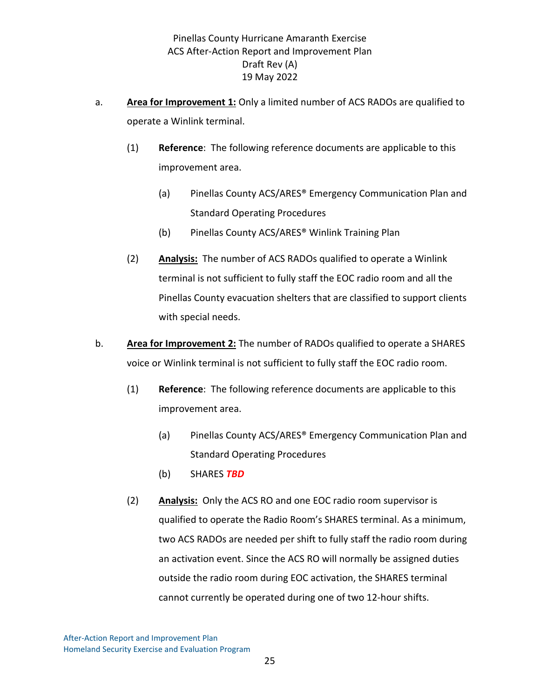- a. **Area for Improvement 1:** Only a limited number of ACS RADOs are qualified to operate a Winlink terminal.
	- (1) **Reference**: The following reference documents are applicable to this improvement area.
		- (a) Pinellas County ACS/ARES® Emergency Communication Plan and Standard Operating Procedures
		- (b) Pinellas County ACS/ARES® Winlink Training Plan
	- (2) **Analysis:** The number of ACS RADOs qualified to operate a Winlink terminal is not sufficient to fully staff the EOC radio room and all the Pinellas County evacuation shelters that are classified to support clients with special needs.
- b. **Area for Improvement 2:** The number of RADOs qualified to operate a SHARES voice or Winlink terminal is not sufficient to fully staff the EOC radio room.
	- (1) **Reference**: The following reference documents are applicable to this improvement area.
		- (a) Pinellas County ACS/ARES® Emergency Communication Plan and Standard Operating Procedures
		- (b) SHARES *TBD*
	- (2) **Analysis:** Only the ACS RO and one EOC radio room supervisor is qualified to operate the Radio Room's SHARES terminal. As a minimum, two ACS RADOs are needed per shift to fully staff the radio room during an activation event. Since the ACS RO will normally be assigned duties outside the radio room during EOC activation, the SHARES terminal cannot currently be operated during one of two 12-hour shifts.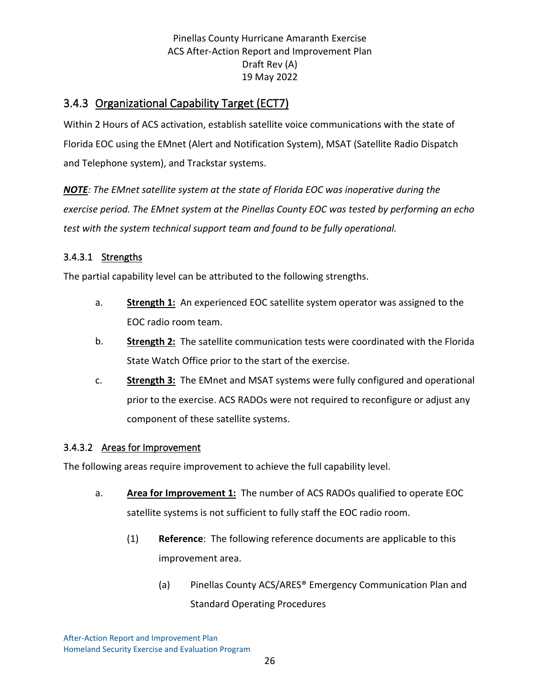## <span id="page-29-0"></span>3.4.3 Organizational Capability Target (ECT7)

Within 2 Hours of ACS activation, establish satellite voice communications with the state of Florida EOC using the EMnet (Alert and Notification System), MSAT (Satellite Radio Dispatch and Telephone system), and Trackstar systems.

*NOTE: The EMnet satellite system at the state of Florida EOC was inoperative during the exercise period. The EMnet system at the Pinellas County EOC was tested by performing an echo test with the system technical support team and found to be fully operational.*

#### 3.4.3.1 Strengths

The partial capability level can be attributed to the following strengths.

- a. **Strength 1:** An experienced EOC satellite system operator was assigned to the EOC radio room team.
- b. **Strength 2:** The satellite communication tests were coordinated with the Florida State Watch Office prior to the start of the exercise.
- c. **Strength 3:** The EMnet and MSAT systems were fully configured and operational prior to the exercise. ACS RADOs were not required to reconfigure or adjust any component of these satellite systems.

#### 3.4.3.2 Areas for Improvement

The following areas require improvement to achieve the full capability level.

- a. **Area for Improvement 1:** The number of ACS RADOs qualified to operate EOC satellite systems is not sufficient to fully staff the EOC radio room.
	- (1) **Reference**: The following reference documents are applicable to this improvement area.
		- (a) Pinellas County ACS/ARES® Emergency Communication Plan and Standard Operating Procedures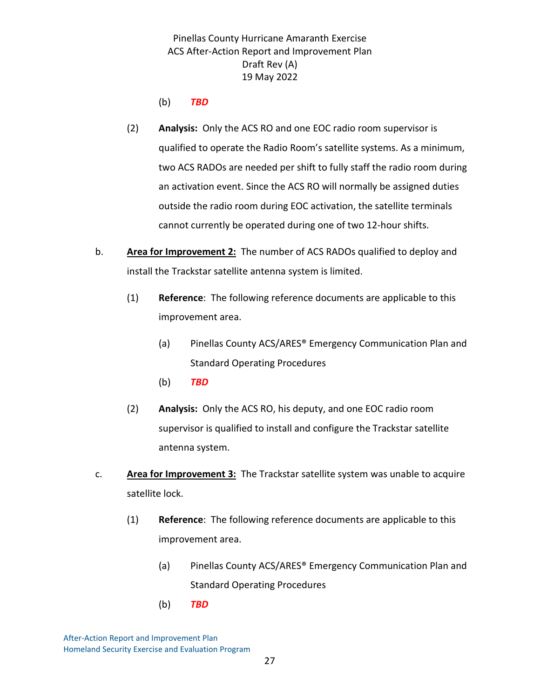(b) *TBD*

- (2) **Analysis:** Only the ACS RO and one EOC radio room supervisor is qualified to operate the Radio Room's satellite systems. As a minimum, two ACS RADOs are needed per shift to fully staff the radio room during an activation event. Since the ACS RO will normally be assigned duties outside the radio room during EOC activation, the satellite terminals cannot currently be operated during one of two 12-hour shifts.
- b. **Area for Improvement 2:** The number of ACS RADOs qualified to deploy and install the Trackstar satellite antenna system is limited.
	- (1) **Reference**: The following reference documents are applicable to this improvement area.
		- (a) Pinellas County ACS/ARES® Emergency Communication Plan and Standard Operating Procedures
		- (b) *TBD*
	- (2) **Analysis:** Only the ACS RO, his deputy, and one EOC radio room supervisor is qualified to install and configure the Trackstar satellite antenna system.
- c. **Area for Improvement 3:** The Trackstar satellite system was unable to acquire satellite lock.
	- (1) **Reference**: The following reference documents are applicable to this improvement area.
		- (a) Pinellas County ACS/ARES® Emergency Communication Plan and Standard Operating Procedures
		- (b) *TBD*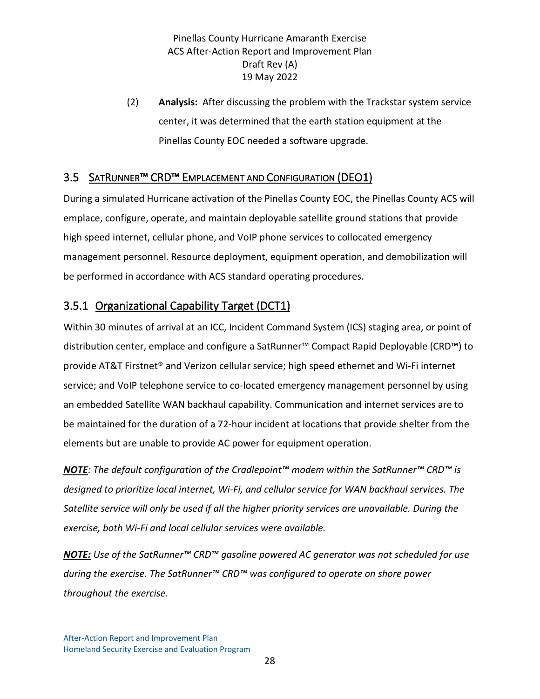<span id="page-31-0"></span>(2) **Analysis:** After discussing the problem with the Trackstar system service center, it was determined that the earth station equipment at the Pinellas County EOC needed a software upgrade.

## <span id="page-31-1"></span>3.5 SATRUNNER™ CRD™ EMPLACEMENT AND CONFIGURATION (DEO1)

During a simulated Hurricane activation of the Pinellas County EOC, the Pinellas County ACS will emplace, configure, operate, and maintain deployable satellite ground stations that provide high speed internet, cellular phone, and VoIP phone services to collocated emergency management personnel. Resource deployment, equipment operation, and demobilization will be performed in accordance with ACS standard operating procedures.

## 3.5.1 Organizational Capability Target (DCT1)

Within 30 minutes of arrival at an ICC, Incident Command System (ICS) staging area, or point of distribution center, emplace and configure a SatRunner™ Compact Rapid Deployable (CRD™) to provide AT&T Firstnet® and Verizon cellular service; high speed ethernet and Wi-Fi internet service; and VoIP telephone service to co-located emergency management personnel by using an embedded Satellite WAN backhaul capability. Communication and internet services are to be maintained for the duration of a 72-hour incident at locations that provide shelter from the elements but are unable to provide AC power for equipment operation.

*NOTE: The default configuration of the Cradlepoint™ modem within the SatRunner™ CRD™ is designed to prioritize local internet, Wi-Fi, and cellular service for WAN backhaul services. The Satellite service will only be used if all the higher priority services are unavailable. During the exercise, both Wi-Fi and local cellular services were available.*

*NOTE: Use of the SatRunner™ CRD™ gasoline powered AC generator was not scheduled for use during the exercise. The SatRunner™ CRD™ was configured to operate on shore power throughout the exercise.*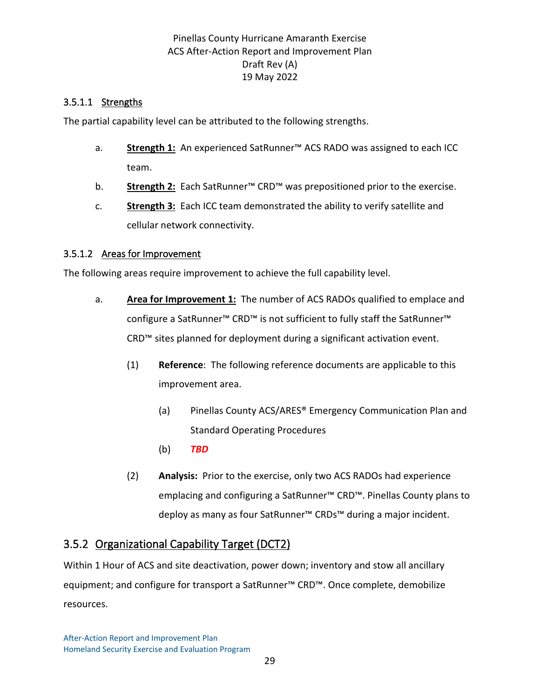#### 3.5.1.1 Strengths

The partial capability level can be attributed to the following strengths.

- a. **Strength 1:** An experienced SatRunner™ ACS RADO was assigned to each ICC team.
- b. **Strength 2:** Each SatRunner™ CRD™ was prepositioned prior to the exercise.
- c. **Strength 3:** Each ICC team demonstrated the ability to verify satellite and cellular network connectivity.

#### 3.5.1.2 Areas for Improvement

The following areas require improvement to achieve the full capability level.

- <span id="page-32-0"></span>a. **Area for Improvement 1:** The number of ACS RADOs qualified to emplace and configure a SatRunner™ CRD™ is not sufficient to fully staff the SatRunner™ CRD™ sites planned for deployment during a significant activation event.
	- (1) **Reference**: The following reference documents are applicable to this improvement area.
		- (a) Pinellas County ACS/ARES® Emergency Communication Plan and Standard Operating Procedures
		- (b) *TBD*
	- (2) **Analysis:** Prior to the exercise, only two ACS RADOs had experience emplacing and configuring a SatRunner™ CRD™. Pinellas County plans to deploy as many as four SatRunner™ CRDs™ during a major incident.

## 3.5.2 Organizational Capability Target (DCT2)

Within 1 Hour of ACS and site deactivation, power down; inventory and stow all ancillary equipment; and configure for transport a SatRunner™ CRD™. Once complete, demobilize resources.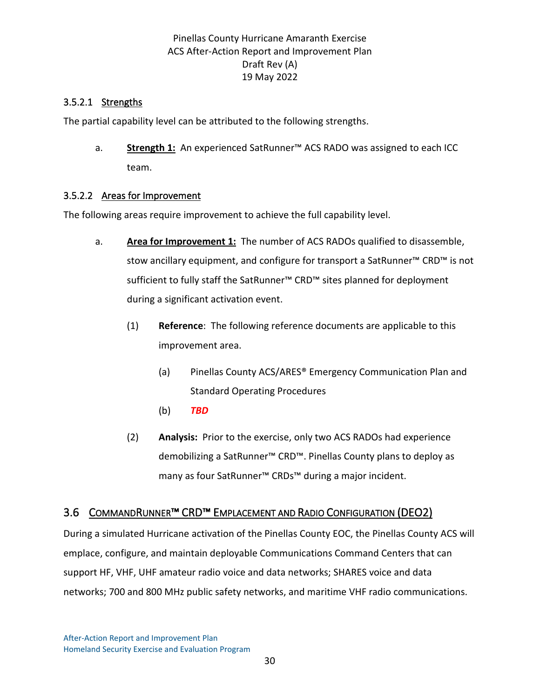#### 3.5.2.1 Strengths

The partial capability level can be attributed to the following strengths.

a. **Strength 1:** An experienced SatRunner™ ACS RADO was assigned to each ICC team.

#### 3.5.2.2 Areas for Improvement

The following areas require improvement to achieve the full capability level.

- <span id="page-33-0"></span>a. **Area for Improvement 1:** The number of ACS RADOs qualified to disassemble, stow ancillary equipment, and configure for transport a SatRunner™ CRD™ is not sufficient to fully staff the SatRunner™ CRD™ sites planned for deployment during a significant activation event.
	- (1) **Reference**: The following reference documents are applicable to this improvement area.
		- (a) Pinellas County ACS/ARES® Emergency Communication Plan and Standard Operating Procedures
		- (b) *TBD*
	- (2) **Analysis:** Prior to the exercise, only two ACS RADOs had experience demobilizing a SatRunner™ CRD™. Pinellas County plans to deploy as many as four SatRunner™ CRDs™ during a major incident.

#### 3.6 COMMANDRUNNER™ CRD™ EMPLACEMENT AND RADIO CONFIGURATION (DEO2)

During a simulated Hurricane activation of the Pinellas County EOC, the Pinellas County ACS will emplace, configure, and maintain deployable Communications Command Centers that can support HF, VHF, UHF amateur radio voice and data networks; SHARES voice and data networks; 700 and 800 MHz public safety networks, and maritime VHF radio communications.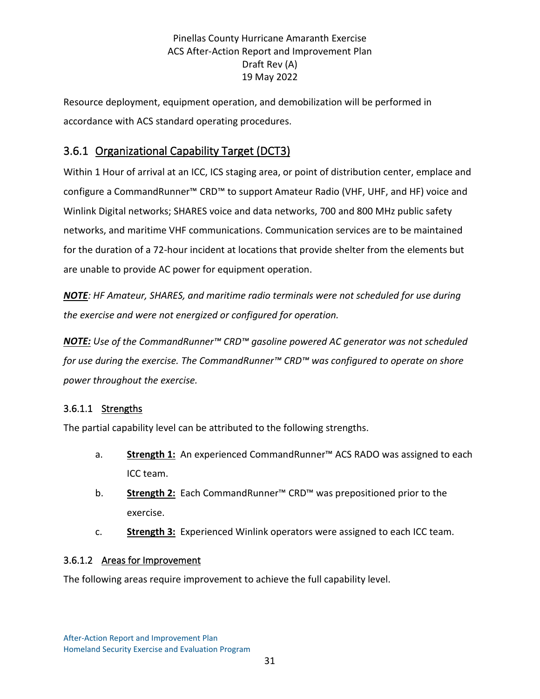<span id="page-34-0"></span>Resource deployment, equipment operation, and demobilization will be performed in accordance with ACS standard operating procedures.

## 3.6.1 Organizational Capability Target (DCT3)

Within 1 Hour of arrival at an ICC, ICS staging area, or point of distribution center, emplace and configure a CommandRunner™ CRD™ to support Amateur Radio (VHF, UHF, and HF) voice and Winlink Digital networks; SHARES voice and data networks, 700 and 800 MHz public safety networks, and maritime VHF communications. Communication services are to be maintained for the duration of a 72-hour incident at locations that provide shelter from the elements but are unable to provide AC power for equipment operation.

*NOTE: HF Amateur, SHARES, and maritime radio terminals were not scheduled for use during the exercise and were not energized or configured for operation.*

*NOTE: Use of the CommandRunner™ CRD™ gasoline powered AC generator was not scheduled for use during the exercise. The CommandRunner™ CRD™ was configured to operate on shore power throughout the exercise.*

#### 3.6.1.1 Strengths

The partial capability level can be attributed to the following strengths.

- a. **Strength 1:** An experienced CommandRunner™ ACS RADO was assigned to each ICC team.
- b. **Strength 2:** Each CommandRunner™ CRD™ was prepositioned prior to the exercise.
- c. **Strength 3:** Experienced Winlink operators were assigned to each ICC team.

#### 3.6.1.2 Areas for Improvement

The following areas require improvement to achieve the full capability level.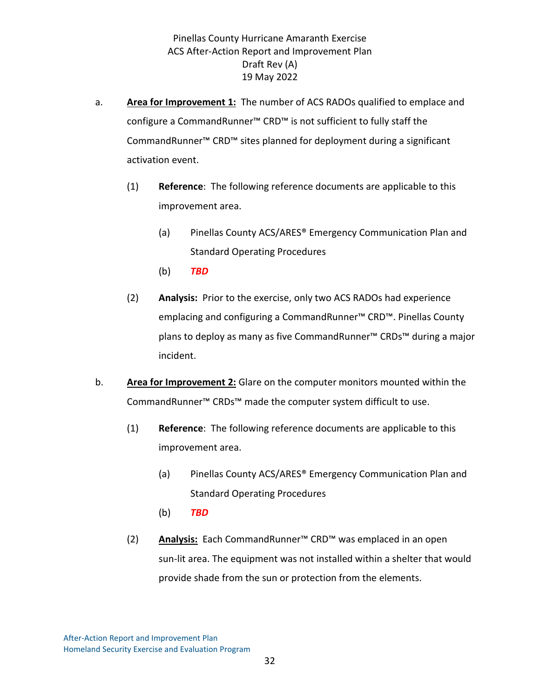- a. **Area for Improvement 1:** The number of ACS RADOs qualified to emplace and configure a CommandRunner™ CRD™ is not sufficient to fully staff the CommandRunner™ CRD™ sites planned for deployment during a significant activation event.
	- (1) **Reference**: The following reference documents are applicable to this improvement area.
		- (a) Pinellas County ACS/ARES® Emergency Communication Plan and Standard Operating Procedures
		- (b) *TBD*
	- (2) **Analysis:** Prior to the exercise, only two ACS RADOs had experience emplacing and configuring a CommandRunner™ CRD™. Pinellas County plans to deploy as many as five CommandRunner™ CRDs™ during a major incident.
- b. **Area for Improvement 2:** Glare on the computer monitors mounted within the CommandRunner™ CRDs™ made the computer system difficult to use.
	- (1) **Reference**: The following reference documents are applicable to this improvement area.
		- (a) Pinellas County ACS/ARES® Emergency Communication Plan and Standard Operating Procedures
		- (b) *TBD*
	- (2) **Analysis:** Each CommandRunner™ CRD™ was emplaced in an open sun-lit area. The equipment was not installed within a shelter that would provide shade from the sun or protection from the elements.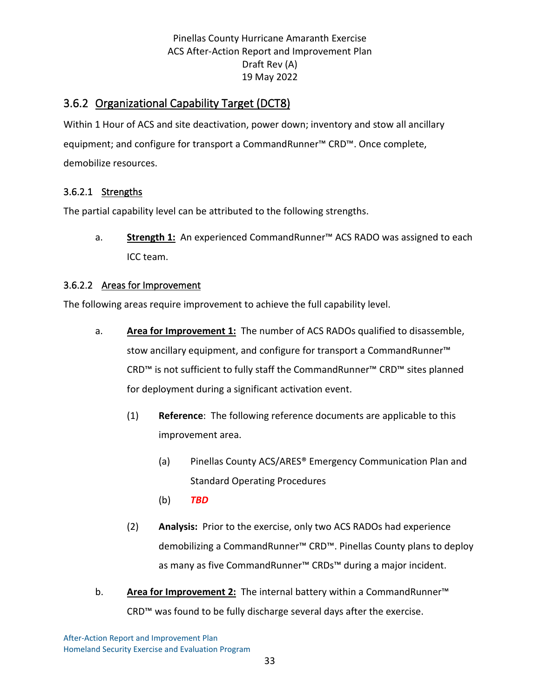## <span id="page-36-0"></span>3.6.2 Organizational Capability Target (DCT8)

Within 1 Hour of ACS and site deactivation, power down; inventory and stow all ancillary equipment; and configure for transport a CommandRunner™ CRD™. Once complete, demobilize resources.

#### 3.6.2.1 Strengths

The partial capability level can be attributed to the following strengths.

a. **Strength 1:** An experienced CommandRunner™ ACS RADO was assigned to each ICC team.

#### 3.6.2.2 Areas for Improvement

The following areas require improvement to achieve the full capability level.

- a. **Area for Improvement 1:** The number of ACS RADOs qualified to disassemble, stow ancillary equipment, and configure for transport a CommandRunner™ CRD™ is not sufficient to fully staff the CommandRunner™ CRD™ sites planned for deployment during a significant activation event.
	- (1) **Reference**: The following reference documents are applicable to this improvement area.
		- (a) Pinellas County ACS/ARES® Emergency Communication Plan and Standard Operating Procedures
		- (b) *TBD*
	- (2) **Analysis:** Prior to the exercise, only two ACS RADOs had experience demobilizing a CommandRunner™ CRD™. Pinellas County plans to deploy as many as five CommandRunner™ CRDs™ during a major incident.
- b. **Area for Improvement 2:** The internal battery within a CommandRunner™ CRD™ was found to be fully discharge several days after the exercise.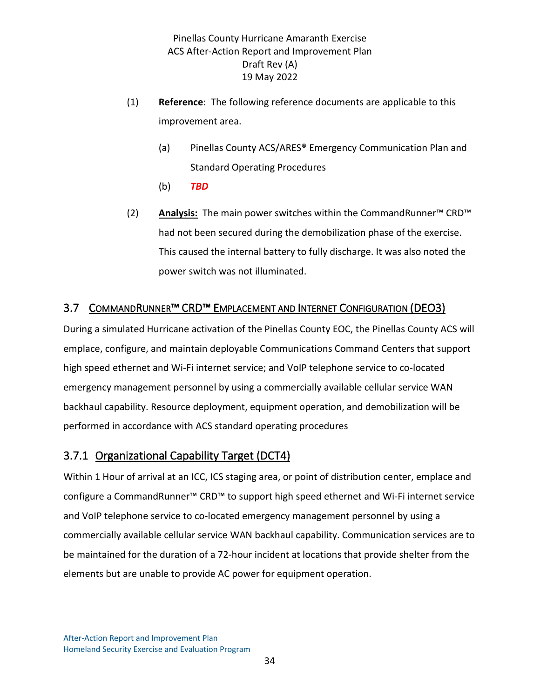- <span id="page-37-0"></span>(1) **Reference**: The following reference documents are applicable to this improvement area.
	- (a) Pinellas County ACS/ARES® Emergency Communication Plan and Standard Operating Procedures
	- (b) *TBD*
- (2) **Analysis:** The main power switches within the CommandRunner™ CRD™ had not been secured during the demobilization phase of the exercise. This caused the internal battery to fully discharge. It was also noted the power switch was not illuminated.

#### <span id="page-37-1"></span>3.7 COMMANDRUNNER™ CRD™ EMPLACEMENT AND INTERNET CONFIGURATION (DEO3)

During a simulated Hurricane activation of the Pinellas County EOC, the Pinellas County ACS will emplace, configure, and maintain deployable Communications Command Centers that support high speed ethernet and Wi-Fi internet service; and VoIP telephone service to co-located emergency management personnel by using a commercially available cellular service WAN backhaul capability. Resource deployment, equipment operation, and demobilization will be performed in accordance with ACS standard operating procedures

#### 3.7.1 Organizational Capability Target (DCT4)

Within 1 Hour of arrival at an ICC, ICS staging area, or point of distribution center, emplace and configure a CommandRunner™ CRD™ to support high speed ethernet and Wi-Fi internet service and VoIP telephone service to co-located emergency management personnel by using a commercially available cellular service WAN backhaul capability. Communication services are to be maintained for the duration of a 72-hour incident at locations that provide shelter from the elements but are unable to provide AC power for equipment operation.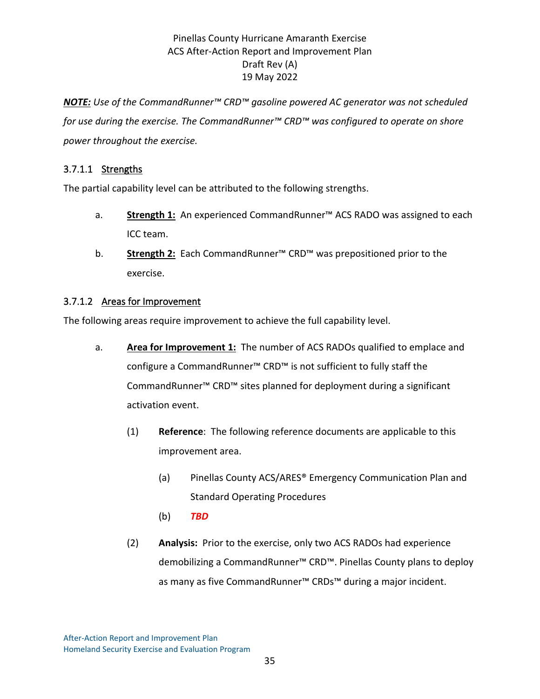*NOTE: Use of the CommandRunner™ CRD™ gasoline powered AC generator was not scheduled for use during the exercise. The CommandRunner™ CRD™ was configured to operate on shore power throughout the exercise.*

#### 3.7.1.1 Strengths

The partial capability level can be attributed to the following strengths.

- a. **Strength 1:** An experienced CommandRunner™ ACS RADO was assigned to each ICC team.
- b. **Strength 2:** Each CommandRunner™ CRD™ was prepositioned prior to the exercise.

#### 3.7.1.2 Areas for Improvement

The following areas require improvement to achieve the full capability level.

- a. **Area for Improvement 1:** The number of ACS RADOs qualified to emplace and configure a CommandRunner™ CRD™ is not sufficient to fully staff the CommandRunner™ CRD™ sites planned for deployment during a significant activation event.
	- (1) **Reference**: The following reference documents are applicable to this improvement area.
		- (a) Pinellas County ACS/ARES® Emergency Communication Plan and Standard Operating Procedures
		- (b) *TBD*
	- (2) **Analysis:** Prior to the exercise, only two ACS RADOs had experience demobilizing a CommandRunner™ CRD™. Pinellas County plans to deploy as many as five CommandRunner™ CRDs™ during a major incident.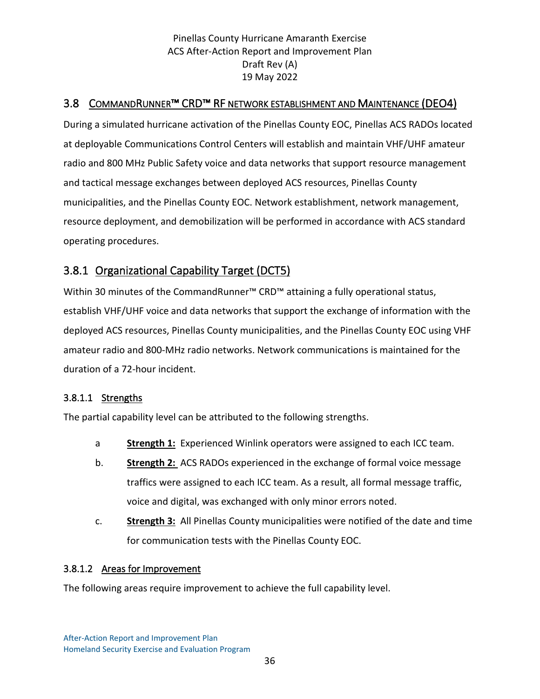#### <span id="page-39-1"></span><span id="page-39-0"></span>3.8 COMMANDRUNNER™ CRD™ RF NETWORK ESTABLISHMENT AND MAINTENANCE (DEO4)

During a simulated hurricane activation of the Pinellas County EOC, Pinellas ACS RADOs located at deployable Communications Control Centers will establish and maintain VHF/UHF amateur radio and 800 MHz Public Safety voice and data networks that support resource management and tactical message exchanges between deployed ACS resources, Pinellas County municipalities, and the Pinellas County EOC. Network establishment, network management, resource deployment, and demobilization will be performed in accordance with ACS standard operating procedures.

## 3.8.1 Organizational Capability Target (DCT5)

Within 30 minutes of the CommandRunner<sup>™</sup> CRD<sup>™</sup> attaining a fully operational status, establish VHF/UHF voice and data networks that support the exchange of information with the deployed ACS resources, Pinellas County municipalities, and the Pinellas County EOC using VHF amateur radio and 800-MHz radio networks. Network communications is maintained for the duration of a 72-hour incident.

#### 3.8.1.1 Strengths

The partial capability level can be attributed to the following strengths.

- a **Strength 1:** Experienced Winlink operators were assigned to each ICC team.
- b. **Strength 2:** ACS RADOs experienced in the exchange of formal voice message traffics were assigned to each ICC team. As a result, all formal message traffic, voice and digital, was exchanged with only minor errors noted.
- c. **Strength 3:** All Pinellas County municipalities were notified of the date and time for communication tests with the Pinellas County EOC.

#### 3.8.1.2 Areas for Improvement

The following areas require improvement to achieve the full capability level.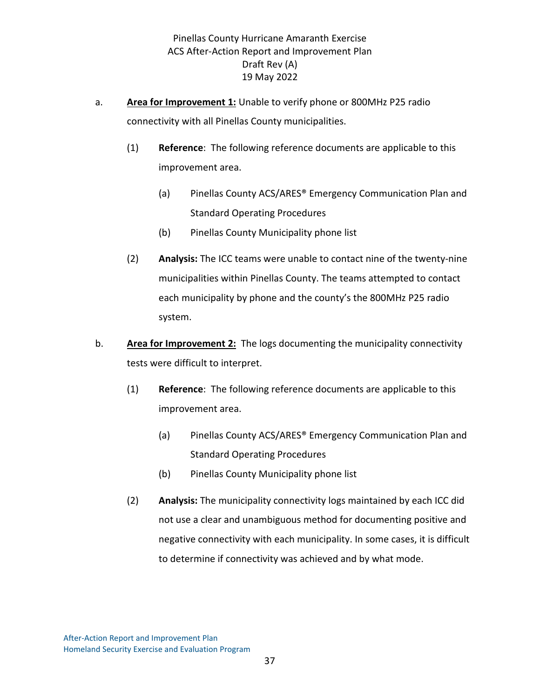- a. **Area for Improvement 1:** Unable to verify phone or 800MHz P25 radio connectivity with all Pinellas County municipalities.
	- (1) **Reference**: The following reference documents are applicable to this improvement area.
		- (a) Pinellas County ACS/ARES® Emergency Communication Plan and Standard Operating Procedures
		- (b) Pinellas County Municipality phone list
	- (2) **Analysis:** The ICC teams were unable to contact nine of the twenty-nine municipalities within Pinellas County. The teams attempted to contact each municipality by phone and the county's the 800MHz P25 radio system.
- b. **Area for Improvement 2:** The logs documenting the municipality connectivity tests were difficult to interpret.
	- (1) **Reference**: The following reference documents are applicable to this improvement area.
		- (a) Pinellas County ACS/ARES® Emergency Communication Plan and Standard Operating Procedures
		- (b) Pinellas County Municipality phone list
	- (2) **Analysis:** The municipality connectivity logs maintained by each ICC did not use a clear and unambiguous method for documenting positive and negative connectivity with each municipality. In some cases, it is difficult to determine if connectivity was achieved and by what mode.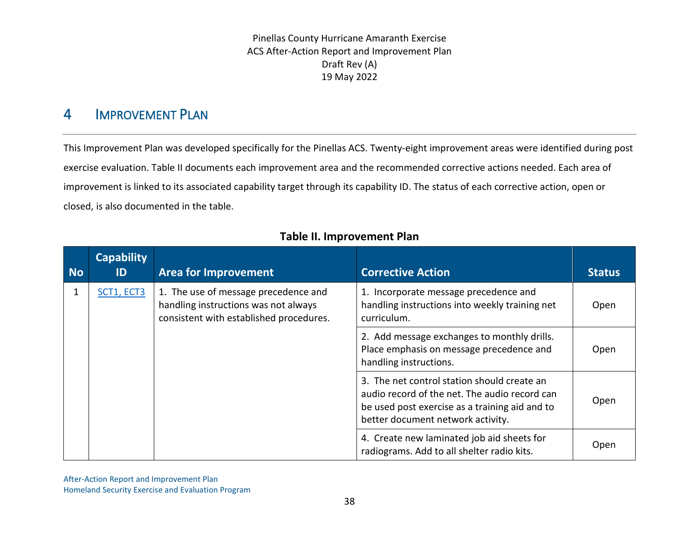## 4 IMPROVEMENT PLAN

This Improvement Plan was developed specifically for the Pinellas ACS. Twenty-eight improvement areas were identified during post exercise evaluation. [Table II](#page-41-1) documents each improvement area and the recommended corrective actions needed. Each area of improvement is linked to its associated capability target through its capability ID. The status of each corrective action, open or closed, is also documented in the table.

<span id="page-41-1"></span><span id="page-41-0"></span>

| <b>No</b> | <b>Capability</b><br>ID | <b>Area for Improvement</b>                                                                                             | <b>Corrective Action</b>                                                                                                                                                            | <b>Status</b> |
|-----------|-------------------------|-------------------------------------------------------------------------------------------------------------------------|-------------------------------------------------------------------------------------------------------------------------------------------------------------------------------------|---------------|
| 1         | SCT1, ECT3              | 1. The use of message precedence and<br>handling instructions was not always<br>consistent with established procedures. | 1. Incorporate message precedence and<br>handling instructions into weekly training net<br>curriculum.                                                                              | Open          |
|           |                         |                                                                                                                         | 2. Add message exchanges to monthly drills.<br>Place emphasis on message precedence and<br>handling instructions.                                                                   | Open          |
|           |                         |                                                                                                                         | 3. The net control station should create an<br>audio record of the net. The audio record can<br>be used post exercise as a training aid and to<br>better document network activity. | Open          |
|           |                         |                                                                                                                         | 4. Create new laminated job aid sheets for<br>radiograms. Add to all shelter radio kits.                                                                                            | Open          |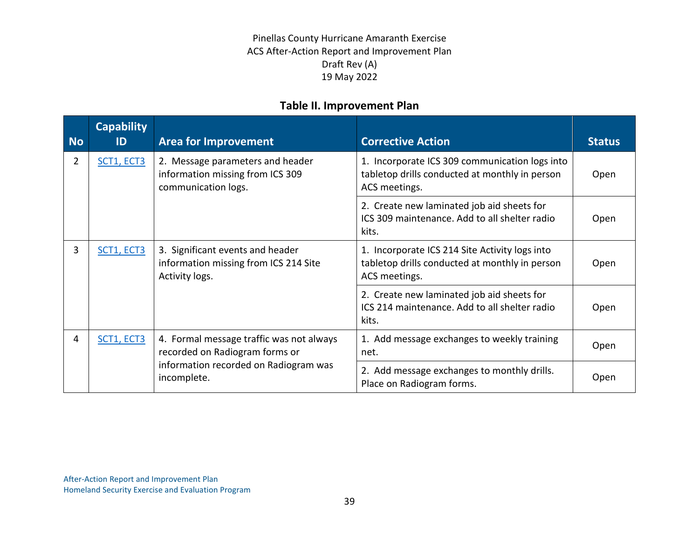| <b>No</b>      | <b>Capability</b><br>ID | <b>Area for Improvement</b>                                                                 | <b>Corrective Action</b>                                                                                          | <b>Status</b> |
|----------------|-------------------------|---------------------------------------------------------------------------------------------|-------------------------------------------------------------------------------------------------------------------|---------------|
| $\overline{2}$ | SCT1, ECT3              | 2. Message parameters and header<br>information missing from ICS 309<br>communication logs. | 1. Incorporate ICS 309 communication logs into<br>tabletop drills conducted at monthly in person<br>ACS meetings. | Open          |
|                |                         |                                                                                             | 2. Create new laminated job aid sheets for<br>ICS 309 maintenance. Add to all shelter radio<br>kits.              | Open          |
| 3              | SCT1, ECT3              | 3. Significant events and header<br>information missing from ICS 214 Site<br>Activity logs. | 1. Incorporate ICS 214 Site Activity logs into<br>tabletop drills conducted at monthly in person<br>ACS meetings. | Open          |
|                |                         |                                                                                             | 2. Create new laminated job aid sheets for<br>ICS 214 maintenance. Add to all shelter radio<br>kits.              | Open          |
| 4              | SCT1, ECT3              | 4. Formal message traffic was not always<br>recorded on Radiogram forms or                  | 1. Add message exchanges to weekly training<br>net.                                                               | Open          |
|                |                         | information recorded on Radiogram was<br>incomplete.                                        | 2. Add message exchanges to monthly drills.<br>Place on Radiogram forms.                                          | Open          |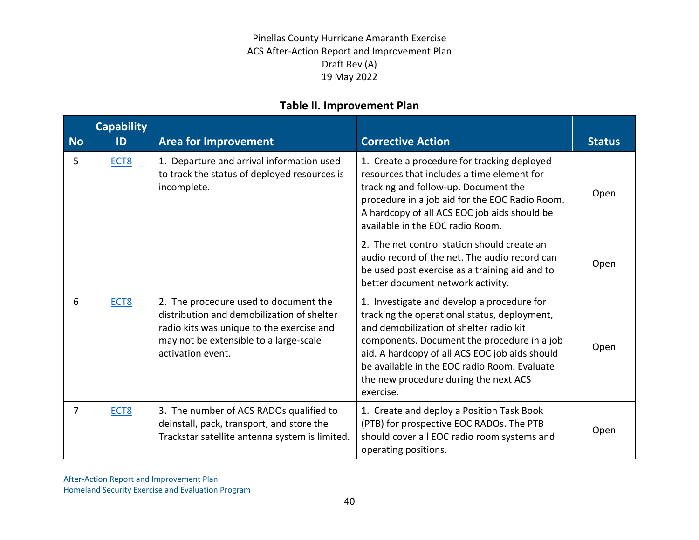| <b>No</b> | <b>Capability</b><br>ID | <b>Area for Improvement</b>                                                                                                                                                                     | <b>Corrective Action</b>                                                                                                                                                                                                                                                                                                                     | <b>Status</b> |
|-----------|-------------------------|-------------------------------------------------------------------------------------------------------------------------------------------------------------------------------------------------|----------------------------------------------------------------------------------------------------------------------------------------------------------------------------------------------------------------------------------------------------------------------------------------------------------------------------------------------|---------------|
| 5         | ECT <sub>8</sub>        | 1. Departure and arrival information used<br>to track the status of deployed resources is<br>incomplete.                                                                                        | 1. Create a procedure for tracking deployed<br>resources that includes a time element for<br>tracking and follow-up. Document the<br>procedure in a job aid for the EOC Radio Room.<br>A hardcopy of all ACS EOC job aids should be<br>available in the EOC radio Room.                                                                      | Open          |
|           |                         |                                                                                                                                                                                                 | 2. The net control station should create an<br>audio record of the net. The audio record can<br>be used post exercise as a training aid and to<br>better document network activity.                                                                                                                                                          | Open          |
| 6         | ECT8                    | 2. The procedure used to document the<br>distribution and demobilization of shelter<br>radio kits was unique to the exercise and<br>may not be extensible to a large-scale<br>activation event. | 1. Investigate and develop a procedure for<br>tracking the operational status, deployment,<br>and demobilization of shelter radio kit<br>components. Document the procedure in a job<br>aid. A hardcopy of all ACS EOC job aids should<br>be available in the EOC radio Room. Evaluate<br>the new procedure during the next ACS<br>exercise. | Open          |
| 7         | ECT <sub>8</sub>        | 3. The number of ACS RADOs qualified to<br>deinstall, pack, transport, and store the<br>Trackstar satellite antenna system is limited.                                                          | 1. Create and deploy a Position Task Book<br>(PTB) for prospective EOC RADOs. The PTB<br>should cover all EOC radio room systems and<br>operating positions.                                                                                                                                                                                 | Open          |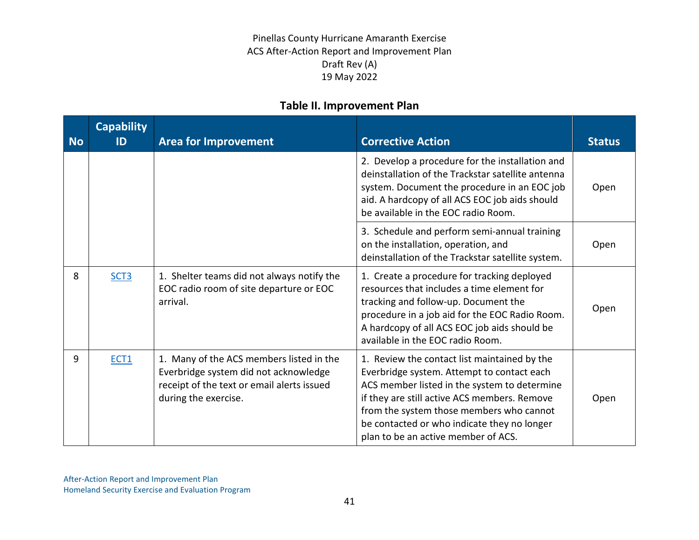| <b>No</b> | <b>Capability</b><br>ID | <b>Area for Improvement</b>                                                                                                                             | <b>Corrective Action</b>                                                                                                                                                                                                                                                                                                     | <b>Status</b> |
|-----------|-------------------------|---------------------------------------------------------------------------------------------------------------------------------------------------------|------------------------------------------------------------------------------------------------------------------------------------------------------------------------------------------------------------------------------------------------------------------------------------------------------------------------------|---------------|
|           |                         |                                                                                                                                                         | 2. Develop a procedure for the installation and<br>deinstallation of the Trackstar satellite antenna<br>system. Document the procedure in an EOC job<br>aid. A hardcopy of all ACS EOC job aids should<br>be available in the EOC radio Room.                                                                                | Open          |
|           |                         |                                                                                                                                                         | 3. Schedule and perform semi-annual training<br>on the installation, operation, and<br>deinstallation of the Trackstar satellite system.                                                                                                                                                                                     | Open          |
| 8         | SCT <sub>3</sub>        | 1. Shelter teams did not always notify the<br>EOC radio room of site departure or EOC<br>arrival.                                                       | 1. Create a procedure for tracking deployed<br>resources that includes a time element for<br>tracking and follow-up. Document the<br>procedure in a job aid for the EOC Radio Room.<br>A hardcopy of all ACS EOC job aids should be<br>available in the EOC radio Room.                                                      | Open          |
| 9         | ECT1                    | 1. Many of the ACS members listed in the<br>Everbridge system did not acknowledge<br>receipt of the text or email alerts issued<br>during the exercise. | 1. Review the contact list maintained by the<br>Everbridge system. Attempt to contact each<br>ACS member listed in the system to determine<br>if they are still active ACS members. Remove<br>from the system those members who cannot<br>be contacted or who indicate they no longer<br>plan to be an active member of ACS. | Open          |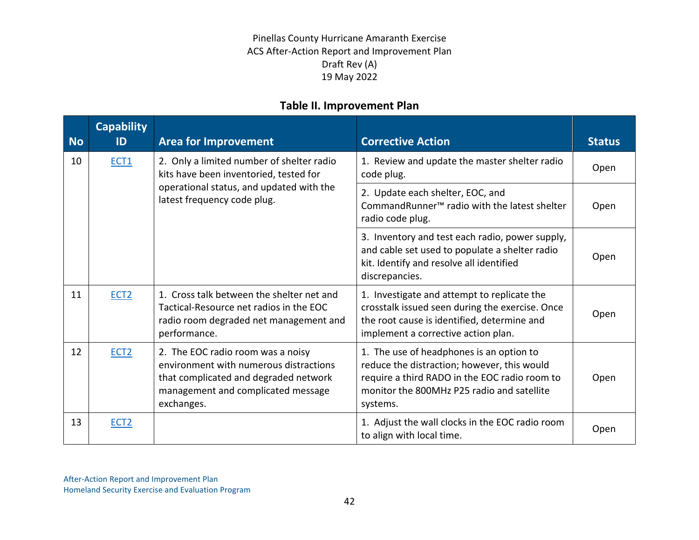| <b>No</b> | <b>Capability</b><br>ID | <b>Area for Improvement</b>                                                                                                                                              | <b>Corrective Action</b>                                                                                                                                                                           | <b>Status</b> |
|-----------|-------------------------|--------------------------------------------------------------------------------------------------------------------------------------------------------------------------|----------------------------------------------------------------------------------------------------------------------------------------------------------------------------------------------------|---------------|
| 10        | ECT1                    | 2. Only a limited number of shelter radio<br>kits have been inventoried, tested for                                                                                      | 1. Review and update the master shelter radio<br>code plug.                                                                                                                                        | Open          |
|           |                         | operational status, and updated with the<br>latest frequency code plug.                                                                                                  | 2. Update each shelter, EOC, and<br>CommandRunner <sup>™</sup> radio with the latest shelter<br>radio code plug.                                                                                   | Open          |
|           |                         |                                                                                                                                                                          | 3. Inventory and test each radio, power supply,<br>and cable set used to populate a shelter radio<br>kit. Identify and resolve all identified<br>discrepancies.                                    | Open          |
| 11        | ECT <sub>2</sub>        | 1. Cross talk between the shelter net and<br>Tactical-Resource net radios in the EOC<br>radio room degraded net management and<br>performance.                           | 1. Investigate and attempt to replicate the<br>crosstalk issued seen during the exercise. Once<br>the root cause is identified, determine and<br>implement a corrective action plan.               | Open          |
| 12        | ECT <sub>2</sub>        | 2. The EOC radio room was a noisy<br>environment with numerous distractions<br>that complicated and degraded network<br>management and complicated message<br>exchanges. | 1. The use of headphones is an option to<br>reduce the distraction; however, this would<br>require a third RADO in the EOC radio room to<br>monitor the 800MHz P25 radio and satellite<br>systems. | Open          |
| 13        | ECT <sub>2</sub>        |                                                                                                                                                                          | 1. Adjust the wall clocks in the EOC radio room<br>to align with local time.                                                                                                                       | Open          |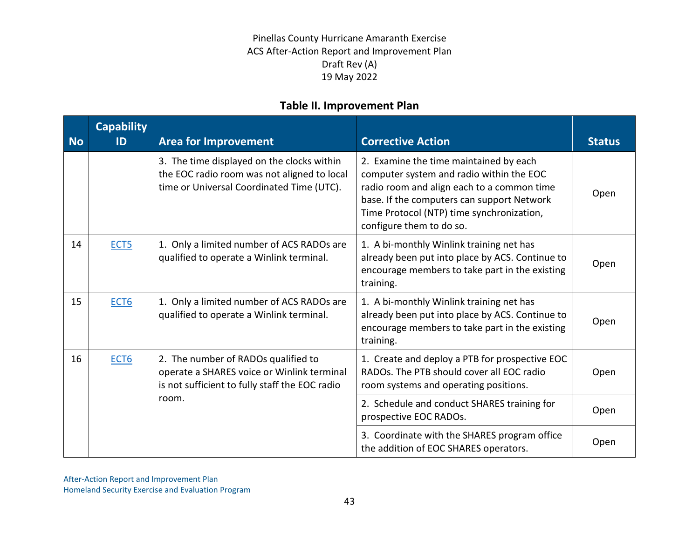| <b>No</b> | <b>Capability</b><br>ID | <b>Area for Improvement</b>                                                                                                            | <b>Corrective Action</b>                                                                                                                                                                                                                                | <b>Status</b> |
|-----------|-------------------------|----------------------------------------------------------------------------------------------------------------------------------------|---------------------------------------------------------------------------------------------------------------------------------------------------------------------------------------------------------------------------------------------------------|---------------|
|           |                         | 3. The time displayed on the clocks within<br>the EOC radio room was not aligned to local<br>time or Universal Coordinated Time (UTC). | 2. Examine the time maintained by each<br>computer system and radio within the EOC<br>radio room and align each to a common time<br>base. If the computers can support Network<br>Time Protocol (NTP) time synchronization,<br>configure them to do so. | Open          |
| 14        | ECT <sub>5</sub>        | 1. Only a limited number of ACS RADOs are<br>qualified to operate a Winlink terminal.                                                  | 1. A bi-monthly Winlink training net has<br>already been put into place by ACS. Continue to<br>encourage members to take part in the existing<br>training.                                                                                              | Open          |
| 15        | ECT <sub>6</sub>        | 1. Only a limited number of ACS RADOs are<br>qualified to operate a Winlink terminal.                                                  | 1. A bi-monthly Winlink training net has<br>already been put into place by ACS. Continue to<br>encourage members to take part in the existing<br>training.                                                                                              | Open          |
| 16        | ECT <sub>6</sub>        | 2. The number of RADOs qualified to<br>operate a SHARES voice or Winlink terminal<br>is not sufficient to fully staff the EOC radio    | 1. Create and deploy a PTB for prospective EOC<br>RADOs. The PTB should cover all EOC radio<br>room systems and operating positions.                                                                                                                    | Open          |
|           |                         | room.                                                                                                                                  | 2. Schedule and conduct SHARES training for<br>prospective EOC RADOs.                                                                                                                                                                                   | Open          |
|           |                         |                                                                                                                                        | 3. Coordinate with the SHARES program office<br>the addition of EOC SHARES operators.                                                                                                                                                                   | Open          |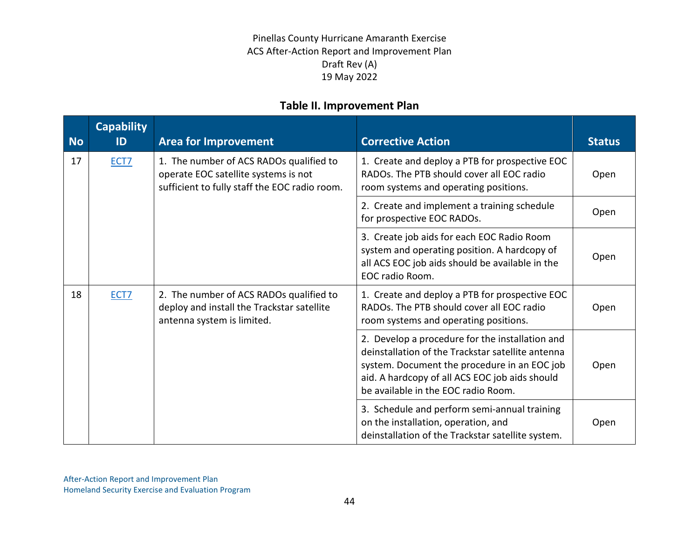| <b>No</b> | <b>Capability</b><br>ID | <b>Area for Improvement</b>                                                                                                      | <b>Corrective Action</b>                                                                                                                                                                                                                      | <b>Status</b> |
|-----------|-------------------------|----------------------------------------------------------------------------------------------------------------------------------|-----------------------------------------------------------------------------------------------------------------------------------------------------------------------------------------------------------------------------------------------|---------------|
| 17        | ECT <sub>7</sub>        | 1. The number of ACS RADOs qualified to<br>operate EOC satellite systems is not<br>sufficient to fully staff the EOC radio room. | 1. Create and deploy a PTB for prospective EOC<br>RADOs. The PTB should cover all EOC radio<br>room systems and operating positions.                                                                                                          | Open          |
|           |                         |                                                                                                                                  | 2. Create and implement a training schedule<br>for prospective EOC RADOs.                                                                                                                                                                     | Open          |
|           |                         |                                                                                                                                  | 3. Create job aids for each EOC Radio Room<br>system and operating position. A hardcopy of<br>all ACS EOC job aids should be available in the<br>EOC radio Room.                                                                              | Open          |
| 18        | ECT7                    | 2. The number of ACS RADOs qualified to<br>deploy and install the Trackstar satellite<br>antenna system is limited.              | 1. Create and deploy a PTB for prospective EOC<br>RADOs. The PTB should cover all EOC radio<br>room systems and operating positions.                                                                                                          | Open          |
|           |                         |                                                                                                                                  | 2. Develop a procedure for the installation and<br>deinstallation of the Trackstar satellite antenna<br>system. Document the procedure in an EOC job<br>aid. A hardcopy of all ACS EOC job aids should<br>be available in the EOC radio Room. | Open          |
|           |                         |                                                                                                                                  | 3. Schedule and perform semi-annual training<br>on the installation, operation, and<br>deinstallation of the Trackstar satellite system.                                                                                                      | Open          |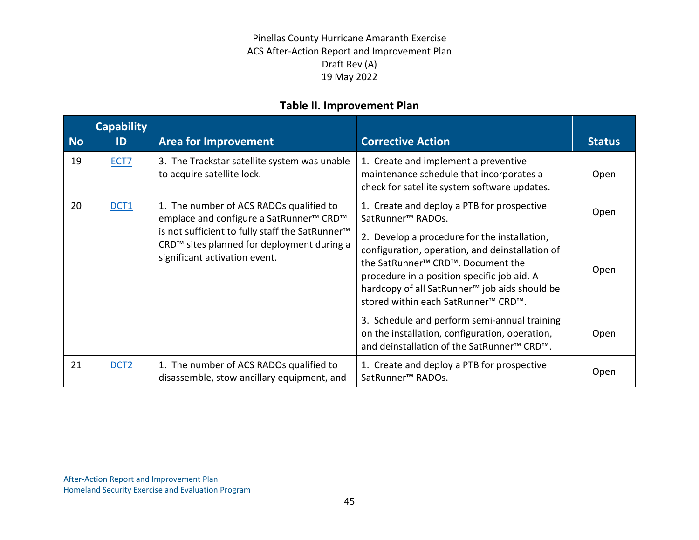| <b>No</b> | <b>Capability</b><br>ID                                                                                                                    | <b>Area for Improvement</b>                                                                                                                                                                                                                                                                                                  | <b>Corrective Action</b>                                                                                                                                              | <b>Status</b> |
|-----------|--------------------------------------------------------------------------------------------------------------------------------------------|------------------------------------------------------------------------------------------------------------------------------------------------------------------------------------------------------------------------------------------------------------------------------------------------------------------------------|-----------------------------------------------------------------------------------------------------------------------------------------------------------------------|---------------|
| 19        | ECT7                                                                                                                                       | 3. The Trackstar satellite system was unable<br>to acquire satellite lock.                                                                                                                                                                                                                                                   | 1. Create and implement a preventive<br>maintenance schedule that incorporates a<br>check for satellite system software updates.                                      | Open          |
| 20        | <b>DCT1</b>                                                                                                                                | 1. The number of ACS RADOs qualified to<br>emplace and configure a SatRunner™ CRD™                                                                                                                                                                                                                                           | 1. Create and deploy a PTB for prospective<br>SatRunner <sup>™</sup> RADOs.                                                                                           | Open          |
|           | is not sufficient to fully staff the SatRunner <sup>™</sup><br>CRD™ sites planned for deployment during a<br>significant activation event. | 2. Develop a procedure for the installation,<br>configuration, operation, and deinstallation of<br>the SatRunner <sup>™</sup> CRD <sup>™</sup> . Document the<br>procedure in a position specific job aid. A<br>hardcopy of all SatRunner <sup>™</sup> job aids should be<br>stored within each SatRunner <sup>™</sup> CRD™. | Open                                                                                                                                                                  |               |
|           |                                                                                                                                            |                                                                                                                                                                                                                                                                                                                              | 3. Schedule and perform semi-annual training<br>on the installation, configuration, operation,<br>and deinstallation of the SatRunner <sup>™</sup> CRD <sup>™</sup> . | Open          |
| 21        | DCT <sub>2</sub>                                                                                                                           | 1. The number of ACS RADOs qualified to<br>disassemble, stow ancillary equipment, and                                                                                                                                                                                                                                        | 1. Create and deploy a PTB for prospective<br>SatRunner <sup>™</sup> RADOs.                                                                                           | Open          |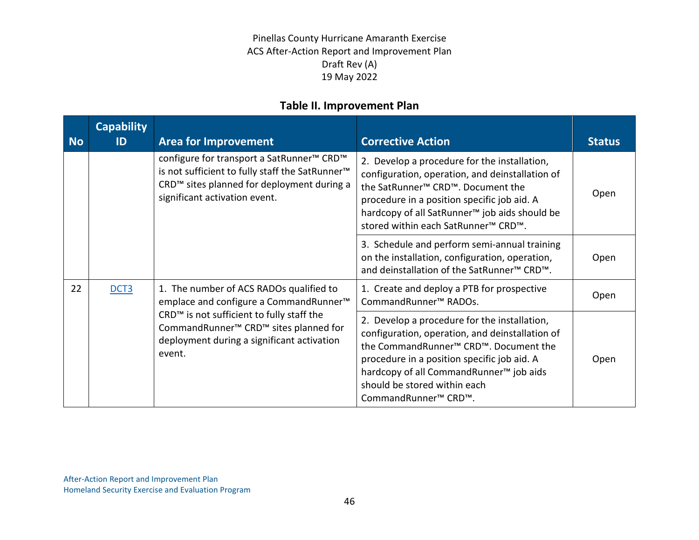| <b>No</b> | <b>Capability</b><br>ID                                                                                           | <b>Area for Improvement</b>                                                                                                                                                                                                 | <b>Corrective Action</b>                                                                                                                                                                                                                                                                                                                    | <b>Status</b> |
|-----------|-------------------------------------------------------------------------------------------------------------------|-----------------------------------------------------------------------------------------------------------------------------------------------------------------------------------------------------------------------------|---------------------------------------------------------------------------------------------------------------------------------------------------------------------------------------------------------------------------------------------------------------------------------------------------------------------------------------------|---------------|
|           |                                                                                                                   | configure for transport a SatRunner <sup>™</sup> CRD <sup>™</sup><br>is not sufficient to fully staff the SatRunner <sup>™</sup><br>CRD <sup>™</sup> sites planned for deployment during a<br>significant activation event. | 2. Develop a procedure for the installation,<br>configuration, operation, and deinstallation of<br>the SatRunner <sup>™</sup> CRD <sup>™</sup> . Document the<br>procedure in a position specific job aid. A<br>hardcopy of all SatRunner <sup>™</sup> job aids should be<br>stored within each SatRunner <sup>™</sup> CRD <sup>™</sup> .   | Open          |
|           |                                                                                                                   |                                                                                                                                                                                                                             | 3. Schedule and perform semi-annual training<br>on the installation, configuration, operation,<br>and deinstallation of the SatRunner <sup>™</sup> CRD <sup>™</sup> .                                                                                                                                                                       | Open          |
| 22        | 1. The number of ACS RADOs qualified to<br>DCT <sub>3</sub><br>emplace and configure a CommandRunner <sup>™</sup> | 1. Create and deploy a PTB for prospective<br>CommandRunner <sup>™</sup> RADOs.                                                                                                                                             | Open                                                                                                                                                                                                                                                                                                                                        |               |
|           |                                                                                                                   | CRD <sup>™</sup> is not sufficient to fully staff the<br>CommandRunner <sup>™</sup> CRD <sup>™</sup> sites planned for<br>deployment during a significant activation<br>event.                                              | 2. Develop a procedure for the installation,<br>configuration, operation, and deinstallation of<br>the CommandRunner <sup>™</sup> CRD <sup>™</sup> . Document the<br>procedure in a position specific job aid. A<br>hardcopy of all CommandRunner <sup>™</sup> job aids<br>should be stored within each<br>CommandRunner <sup>™</sup> CRD™. | Open          |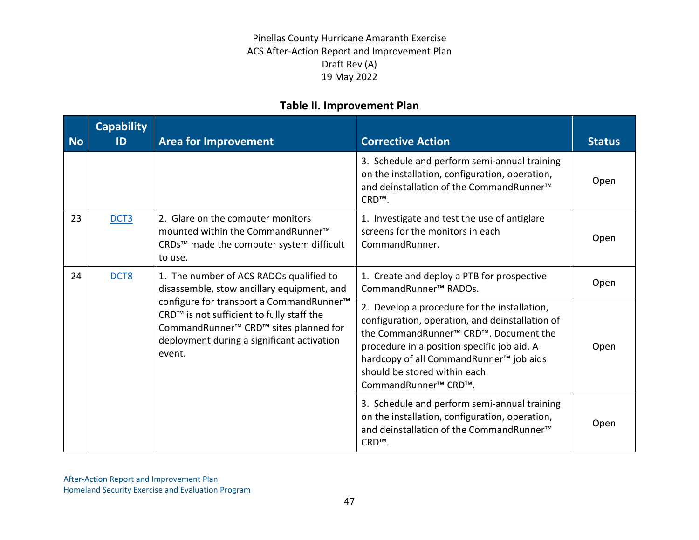| <b>No</b>              | <b>Capability</b><br>ID                                                               | <b>Area for Improvement</b>                                                                                                                                                                                                            | <b>Corrective Action</b>                                                                                                                                                                                                                                                                                                                    | <b>Status</b> |
|------------------------|---------------------------------------------------------------------------------------|----------------------------------------------------------------------------------------------------------------------------------------------------------------------------------------------------------------------------------------|---------------------------------------------------------------------------------------------------------------------------------------------------------------------------------------------------------------------------------------------------------------------------------------------------------------------------------------------|---------------|
|                        |                                                                                       |                                                                                                                                                                                                                                        | 3. Schedule and perform semi-annual training<br>on the installation, configuration, operation,<br>and deinstallation of the CommandRunner <sup>™</sup><br>CRD <sup>™</sup> .                                                                                                                                                                | Open          |
| 23                     | DCT <sub>3</sub>                                                                      | 2. Glare on the computer monitors<br>mounted within the CommandRunner <sup>™</sup><br>CRDs™ made the computer system difficult<br>to use.                                                                                              | 1. Investigate and test the use of antiglare<br>screens for the monitors in each<br>CommandRunner.                                                                                                                                                                                                                                          | Open          |
| 24<br>DCT <sub>8</sub> | 1. The number of ACS RADOs qualified to<br>disassemble, stow ancillary equipment, and | 1. Create and deploy a PTB for prospective<br>CommandRunner <sup>™</sup> RADOs.                                                                                                                                                        | Open                                                                                                                                                                                                                                                                                                                                        |               |
|                        |                                                                                       | configure for transport a CommandRunner <sup>™</sup><br>CRD <sup>™</sup> is not sufficient to fully staff the<br>CommandRunner <sup>™</sup> CRD <sup>™</sup> sites planned for<br>deployment during a significant activation<br>event. | 2. Develop a procedure for the installation,<br>configuration, operation, and deinstallation of<br>the CommandRunner <sup>™</sup> CRD™. Document the<br>procedure in a position specific job aid. A<br>hardcopy of all CommandRunner <sup>™</sup> job aids<br>should be stored within each<br>CommandRunner <sup>™</sup> CRD <sup>™</sup> . | Open          |
|                        |                                                                                       |                                                                                                                                                                                                                                        | 3. Schedule and perform semi-annual training<br>on the installation, configuration, operation,<br>and deinstallation of the CommandRunner <sup>™</sup><br>CRD <sup>™</sup> .                                                                                                                                                                | Open          |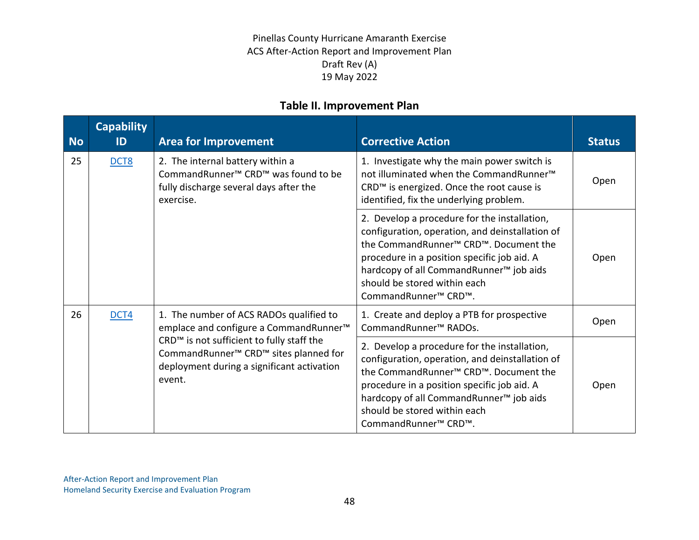| <b>No</b> | <b>Capability</b><br>ID | <b>Area for Improvement</b>                                                                                                                                                    | <b>Corrective Action</b>                                                                                                                                                                                                                                                                                                                    | <b>Status</b> |
|-----------|-------------------------|--------------------------------------------------------------------------------------------------------------------------------------------------------------------------------|---------------------------------------------------------------------------------------------------------------------------------------------------------------------------------------------------------------------------------------------------------------------------------------------------------------------------------------------|---------------|
| 25        | DCT8                    | 2. The internal battery within a<br>CommandRunner <sup>™</sup> CRD <sup>™</sup> was found to be<br>fully discharge several days after the<br>exercise.                         | 1. Investigate why the main power switch is<br>not illuminated when the CommandRunner <sup>™</sup><br>CRD™ is energized. Once the root cause is<br>identified, fix the underlying problem.                                                                                                                                                  | Open          |
|           |                         |                                                                                                                                                                                | 2. Develop a procedure for the installation,<br>configuration, operation, and deinstallation of<br>the CommandRunner <sup>™</sup> CRD <sup>™</sup> . Document the<br>procedure in a position specific job aid. A<br>hardcopy of all CommandRunner <sup>™</sup> job aids<br>should be stored within each<br>CommandRunner <sup>™</sup> CRD™. | Open          |
| 26        | DCT4                    | 1. The number of ACS RADOs qualified to<br>emplace and configure a CommandRunner <sup>™</sup>                                                                                  | 1. Create and deploy a PTB for prospective<br>CommandRunner <sup>™</sup> RADOs.                                                                                                                                                                                                                                                             | Open          |
|           |                         | CRD <sup>™</sup> is not sufficient to fully staff the<br>CommandRunner <sup>™</sup> CRD <sup>™</sup> sites planned for<br>deployment during a significant activation<br>event. | 2. Develop a procedure for the installation,<br>configuration, operation, and deinstallation of<br>the CommandRunner <sup>™</sup> CRD™. Document the<br>procedure in a position specific job aid. A<br>hardcopy of all CommandRunner <sup>™</sup> job aids<br>should be stored within each<br>CommandRunner <sup>™</sup> CRD™.              | Open          |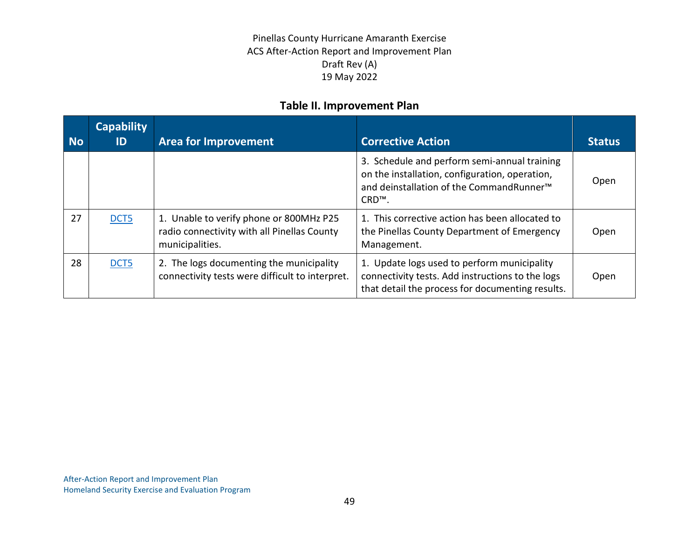| <b>No</b> | <b>Capability</b><br>ID | <b>Area for Improvement</b>                                                                               | <b>Corrective Action</b>                                                                                                                                                     | <b>Status</b> |
|-----------|-------------------------|-----------------------------------------------------------------------------------------------------------|------------------------------------------------------------------------------------------------------------------------------------------------------------------------------|---------------|
|           |                         |                                                                                                           | 3. Schedule and perform semi-annual training<br>on the installation, configuration, operation,<br>and deinstallation of the CommandRunner <sup>™</sup><br>CRD <sup>™</sup> . | Open          |
| 27        | DCT5                    | 1. Unable to verify phone or 800MHz P25<br>radio connectivity with all Pinellas County<br>municipalities. | 1. This corrective action has been allocated to<br>the Pinellas County Department of Emergency<br>Management.                                                                | Open          |
| 28        | DCT5                    | 2. The logs documenting the municipality<br>connectivity tests were difficult to interpret.               | 1. Update logs used to perform municipality<br>connectivity tests. Add instructions to the logs<br>that detail the process for documenting results.                          | Open          |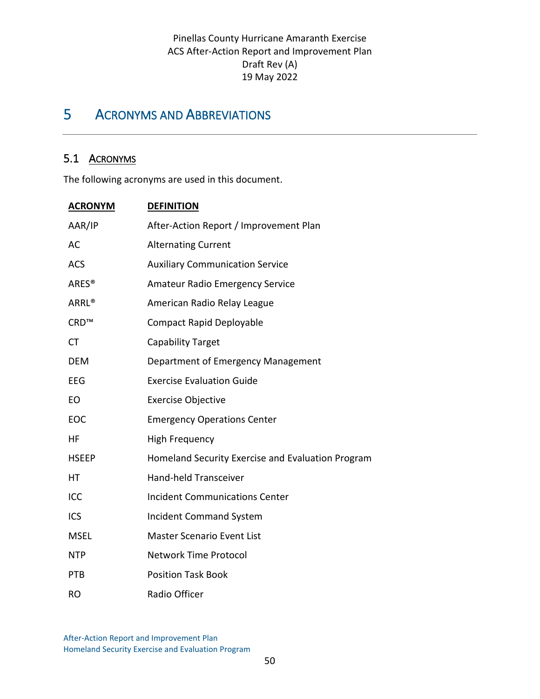## <span id="page-53-0"></span>5 ACRONYMS AND ABBREVIATIONS

#### 5.1 ACRONYMS

The following acronyms are used in this document.

| <b>ACRONYM</b>    | <b>DEFINITION</b>                                 |
|-------------------|---------------------------------------------------|
| AAR/IP            | After-Action Report / Improvement Plan            |
| AC                | <b>Alternating Current</b>                        |
| <b>ACS</b>        | <b>Auxiliary Communication Service</b>            |
| ARES <sup>®</sup> | <b>Amateur Radio Emergency Service</b>            |
| ARRL <sup>®</sup> | American Radio Relay League                       |
| CRD™              | <b>Compact Rapid Deployable</b>                   |
| <b>CT</b>         | <b>Capability Target</b>                          |
| <b>DEM</b>        | Department of Emergency Management                |
| EEG               | <b>Exercise Evaluation Guide</b>                  |
| EO                | <b>Exercise Objective</b>                         |
| EOC               | <b>Emergency Operations Center</b>                |
| HF                | <b>High Frequency</b>                             |
| <b>HSEEP</b>      | Homeland Security Exercise and Evaluation Program |
| HT                | Hand-held Transceiver                             |
| ICC               | <b>Incident Communications Center</b>             |
| ICS               | <b>Incident Command System</b>                    |
| <b>MSEL</b>       | Master Scenario Event List                        |
| <b>NTP</b>        | <b>Network Time Protocol</b>                      |
| <b>PTB</b>        | <b>Position Task Book</b>                         |
| <b>RO</b>         | Radio Officer                                     |